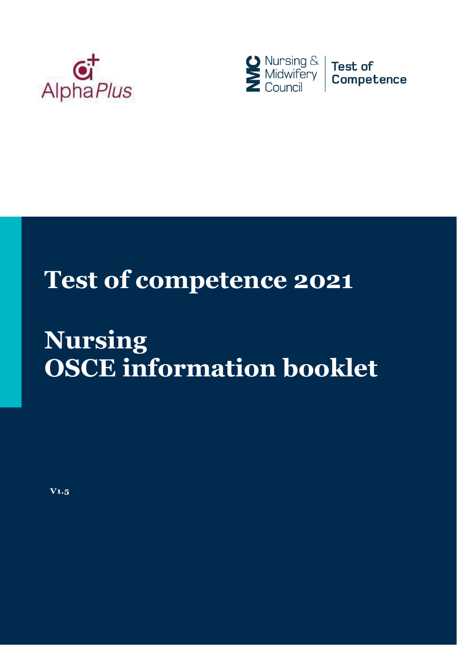



# **Test of competence 2021**

# **Nursing OSCE information booklet**

**V1.5**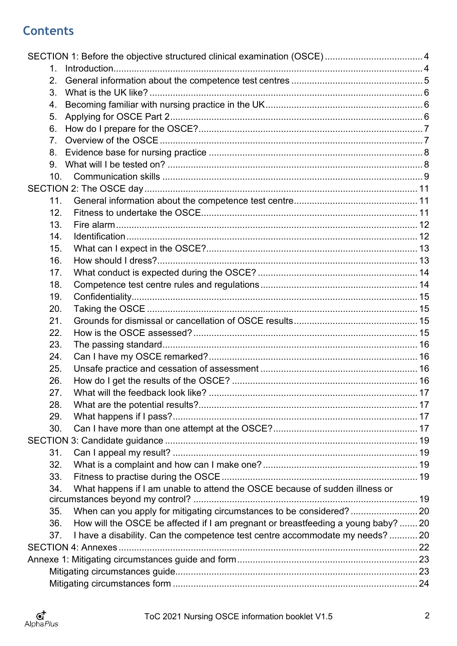# **Contents**

| $\mathbf 1$    |                                                                                   |  |
|----------------|-----------------------------------------------------------------------------------|--|
| 2.             |                                                                                   |  |
| 3.             |                                                                                   |  |
| 4.             |                                                                                   |  |
| 5.             |                                                                                   |  |
| 6.             |                                                                                   |  |
| 7 <sub>1</sub> |                                                                                   |  |
| 8.             |                                                                                   |  |
| 9.             |                                                                                   |  |
| 10.            |                                                                                   |  |
|                |                                                                                   |  |
| 11.            |                                                                                   |  |
| 12.            |                                                                                   |  |
| 13.            |                                                                                   |  |
| 14.            |                                                                                   |  |
| 15.            |                                                                                   |  |
| 16.            |                                                                                   |  |
| 17.            |                                                                                   |  |
| 18.            |                                                                                   |  |
| 19.            |                                                                                   |  |
| 20.            |                                                                                   |  |
| 21.            |                                                                                   |  |
| 22.            |                                                                                   |  |
| 23.            |                                                                                   |  |
| 24.            |                                                                                   |  |
| 25.            |                                                                                   |  |
| 26.            |                                                                                   |  |
| 27.            |                                                                                   |  |
| 28.            |                                                                                   |  |
| 29.            |                                                                                   |  |
| 30.            |                                                                                   |  |
|                |                                                                                   |  |
| 31.            |                                                                                   |  |
| 32.            |                                                                                   |  |
| 33.            |                                                                                   |  |
| 34.            | What happens if I am unable to attend the OSCE because of sudden illness or       |  |
|                |                                                                                   |  |
| 35.            |                                                                                   |  |
| 36.            | How will the OSCE be affected if I am pregnant or breastfeeding a young baby?  20 |  |
| 37.            | I have a disability. Can the competence test centre accommodate my needs?  20     |  |
|                |                                                                                   |  |
|                |                                                                                   |  |
|                |                                                                                   |  |
|                |                                                                                   |  |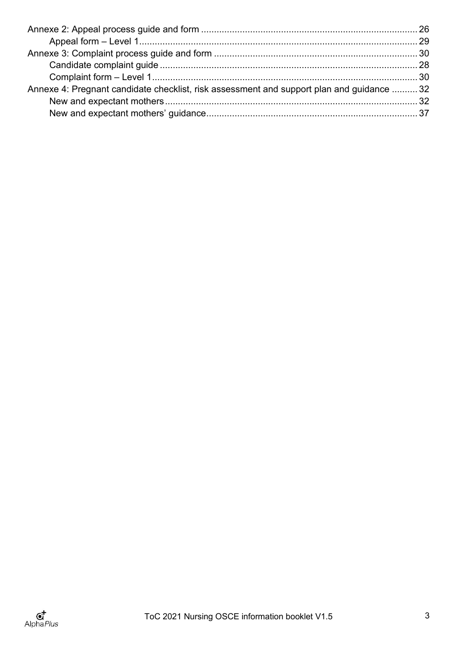| Annexe 4: Pregnant candidate checklist, risk assessment and support plan and guidance  32 |
|-------------------------------------------------------------------------------------------|
|                                                                                           |
|                                                                                           |
|                                                                                           |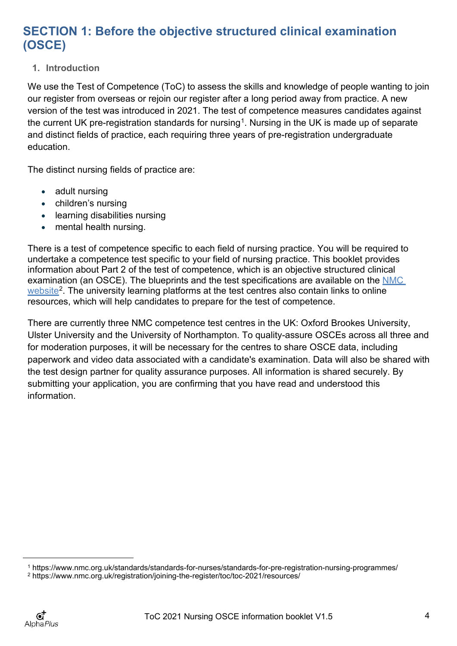# <span id="page-3-0"></span>**SECTION 1: Before the objective structured clinical examination (OSCE)**

# <span id="page-3-1"></span>**1. Introduction**

We use the Test of Competence (ToC) to assess the skills and knowledge of people wanting to join our register from overseas or rejoin our register after a long period away from practice. A new version of the test was introduced in 2021. The test of competence measures candidates against the current UK pre-registration standards for nursing<sup>1</sup>. Nursing in the UK is made up of separate and distinct fields of practice, each requiring three years of pre-registration undergraduate education.

The distinct nursing fields of practice are:

- adult nursing
- children's nursing
- learning disabilities nursing
- mental health nursing.

There is a test of competence specific to each field of nursing practice. You will be required to undertake a competence test specific to your field of nursing practice. This booklet provides information about Part 2 of the test of competence, which is an objective structured clinical examination (an OSCE). The blueprints and the test specifications are available on the NMC [website](https://www.nmc.org.uk/registration/joining-the-register/toc/toc-2021/resources/)<sup>2</sup>. The university learning platforms at the test centres also contain links to online resources, which will help candidates to prepare for the test of competence.

There are currently three NMC competence test centres in the UK: Oxford Brookes University, Ulster University and the University of Northampton. To quality-assure OSCEs across all three and for moderation purposes, it will be necessary for the centres to share OSCE data, including paperwork and video data associated with a candidate's examination. Data will also be shared with the test design partner for quality assurance purposes. All information is shared securely. By submitting your application, you are confirming that you have read and understood this information.

<span id="page-3-2"></span><sup>1</sup> <https://www.nmc.org.uk/standards/standards-for-nurses/standards-for-pre-registration-nursing-programmes/>

<span id="page-3-3"></span><sup>2</sup> https://www.nmc.org.uk/registration/joining-the-register/toc/toc-2021/resources/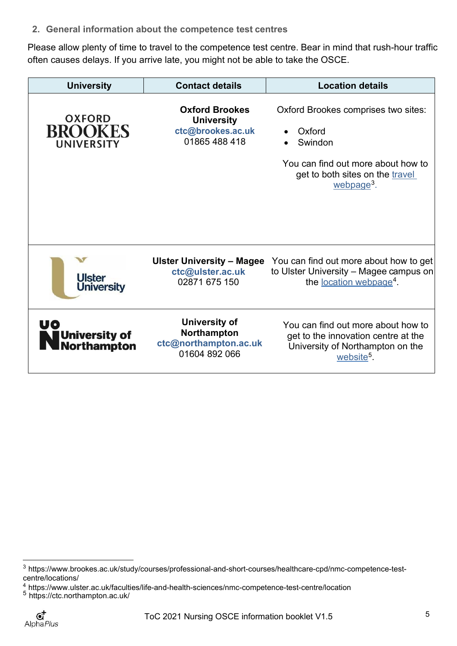<span id="page-4-0"></span>**2. General information about the competence test centres**

Please allow plenty of time to travel to the competence test centre. Bear in mind that rush-hour traffic often causes delays. If you arrive late, you might not be able to take the OSCE.

| <b>University</b>                                    | <b>Contact details</b>                                                           | <b>Location details</b>                                                                                                                                     |
|------------------------------------------------------|----------------------------------------------------------------------------------|-------------------------------------------------------------------------------------------------------------------------------------------------------------|
| <b>OXFORD</b><br><b>BROOKES</b><br><b>UNIVERSITY</b> | <b>Oxford Brookes</b><br><b>University</b><br>ctc@brookes.ac.uk<br>01865 488 418 | Oxford Brookes comprises two sites:<br>Oxford<br>Swindon<br>You can find out more about how to<br>get to both sites on the travel<br>webpage <sup>3</sup> . |
| <b>Ulster</b><br><b>University</b>                   | Ulster University - Magee<br>ctc@ulster.ac.uk<br>02871 675 150                   | You can find out more about how to get<br>to Ulster University - Magee campus on<br>the <u>location webpage</u> <sup>4</sup> .                              |
| UO<br>University of<br>Northampton                   | <b>University of</b><br>Northampton<br>ctc@northampton.ac.uk<br>01604 892 066    | You can find out more about how to<br>get to the innovation centre at the<br>University of Northampton on the<br>website <sup>5</sup> .                     |

<span id="page-4-1"></span><sup>3</sup> [https://www.brookes.ac.uk/study/courses/professional-and-short-courses/healthcare-cpd/nmc-competence-test](https://eur02.safelinks.protection.outlook.com/?url=https%3A%2F%2Fwww.brookes.ac.uk%2Fstudy%2Fcourses%2Fprofessional-and-short-courses%2Fhealthcare-cpd%2Fnmc-competence-test-centre%2Flocations%2F&data=04%7C01%7Cpriya.dutta%40alphaplus.co.uk%7Cf123f1bf4bd8452bfc2b08d9d51e7ee0%7Cc25021120dd64c7fba35d8b0d1df9319%7C0%7C0%7C637775149516363945%7CUnknown%7CTWFpbGZsb3d8eyJWIjoiMC4wLjAwMDAiLCJQIjoiV2luMzIiLCJBTiI6Ik1haWwiLCJXVCI6Mn0%3D%7C3000&sdata=5fA6F52INiCpQHpqqy8m6kikPAoEX%2FmLxAeVf0Z%2BhQs%3D&reserved=0)[centre/locations/](https://eur02.safelinks.protection.outlook.com/?url=https%3A%2F%2Fwww.brookes.ac.uk%2Fstudy%2Fcourses%2Fprofessional-and-short-courses%2Fhealthcare-cpd%2Fnmc-competence-test-centre%2Flocations%2F&data=04%7C01%7Cpriya.dutta%40alphaplus.co.uk%7Cf123f1bf4bd8452bfc2b08d9d51e7ee0%7Cc25021120dd64c7fba35d8b0d1df9319%7C0%7C0%7C637775149516363945%7CUnknown%7CTWFpbGZsb3d8eyJWIjoiMC4wLjAwMDAiLCJQIjoiV2luMzIiLCJBTiI6Ik1haWwiLCJXVCI6Mn0%3D%7C3000&sdata=5fA6F52INiCpQHpqqy8m6kikPAoEX%2FmLxAeVf0Z%2BhQs%3D&reserved=0)

<span id="page-4-2"></span> $\frac{4}{5}$  https:[//www.ulster.ac.uk/faculties/life-and-health-sciences/nmc-competence-test-centre/location](http://www.ulster.ac.uk/faculties/life-and-health-sciences/nmc-competence-test-centre/location)

<span id="page-4-3"></span><sup>&</sup>lt;sup>5</sup> <https://ctc.northampton.ac.uk/>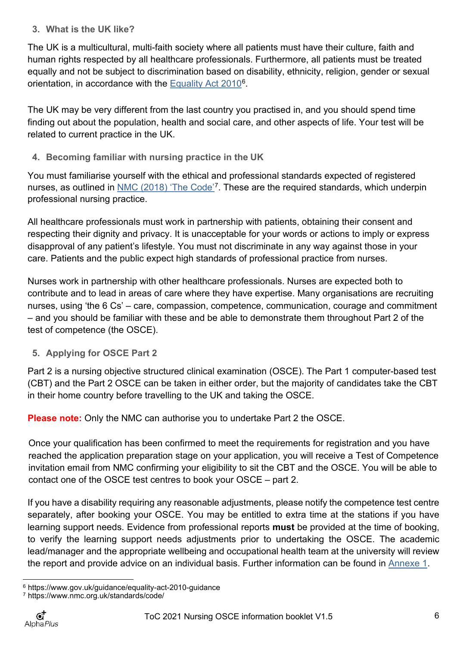# <span id="page-5-0"></span>**3. What is the UK like?**

The UK is a multicultural, multi-faith society where all patients must have their culture, faith and human rights respected by all healthcare professionals. Furthermore, all patients must be treated equally and not be subject to discrimination based on disability, ethnicity, religion, gender or sexual orientation, in accordance with the [Equality Act 2010](https://www.gov.uk/guidance/equality-act-2010-guidance)<sup>6</sup>.

The UK may be very different from the last country you practised in, and you should spend time finding out about the population, health and social care, and other aspects of life. Your test will be related to current practice in the UK.

<span id="page-5-1"></span>**4. Becoming familiar with nursing practice in the UK**

You must familiarise yourself with the ethical and professional standards expected of registered nurses, as outlined in <u>NMC (2018) 'The Code'</u><sup>[7](#page-5-4)</sup>. These are the required standards, which underpin professional nursing practice.

All healthcare professionals must work in partnership with patients, obtaining their consent and respecting their dignity and privacy. It is unacceptable for your words or actions to imply or express disapproval of any patient's lifestyle. You must not discriminate in any way against those in your care. Patients and the public expect high standards of professional practice from nurses.

Nurses work in partnership with other healthcare professionals. Nurses are expected both to contribute and to lead in areas of care where they have expertise. Many organisations are recruiting nurses, using 'the 6 Cs' – care, compassion, competence, communication, courage and commitment – and you should be familiar with these and be able to demonstrate them throughout Part 2 of the test of competence (the OSCE).

<span id="page-5-2"></span>**5. Applying for OSCE Part 2**

Part 2 is a nursing objective structured clinical examination (OSCE). The Part 1 computer-based test (CBT) and the Part 2 OSCE can be taken in either order, but the majority of candidates take the CBT in their home country before travelling to the UK and taking the OSCE.

**Please note:** Only the NMC can authorise you to undertake Part 2 the OSCE.

Once your qualification has been confirmed to meet the requirements for registration and you have reached the application preparation stage on your application, you will receive a Test of Competence invitation email from NMC confirming your eligibility to sit the CBT and the OSCE. You will be able to contact one of the OSCE test centres to book your OSCE – part 2.

If you have a disability requiring any reasonable adjustments, please notify the competence test centre separately, after booking your OSCE. You may be entitled to extra time at the stations if you have learning support needs. Evidence from professional reports **must** be provided at the time of booking, to verify the learning support needs adjustments prior to undertaking the OSCE. The academic lead/manager and the appropriate wellbeing and occupational health team at the university will review the report and provide advice on an individual basis. Further information can be found in [Annexe 1.](#page-22-0)

<span id="page-5-3"></span><sup>6</sup> https:[//www.gov.uk/guidance/equality-act-2010-guidance](http://www.gov.uk/guidance/equality-act-2010-guidance)

<span id="page-5-4"></span><sup>7</sup> https:[//www.nmc.org.uk/standards/code/](http://www.nmc.org.uk/standards/code/)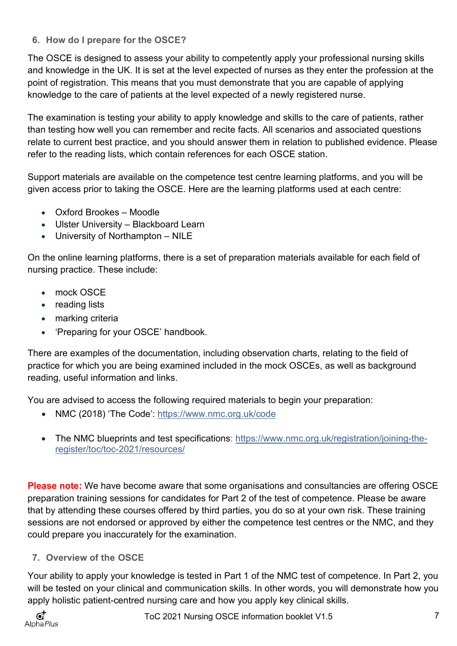# <span id="page-6-0"></span>**6. How do I prepare for the OSCE?**

The OSCE is designed to assess your ability to competently apply your professional nursing skills and knowledge in the UK. It is set at the level expected of nurses as they enter the profession at the point of registration. This means that you must demonstrate that you are capable of applying knowledge to the care of patients at the level expected of a newly registered nurse.

The examination is testing your ability to apply knowledge and skills to the care of patients, rather than testing how well you can remember and recite facts. All scenarios and associated questions relate to current best practice, and you should answer them in relation to published evidence. Please refer to the reading lists, which contain references for each OSCE station.

Support materials are available on the competence test centre learning platforms, and you will be given access prior to taking the OSCE. Here are the learning platforms used at each centre:

- Oxford Brookes Moodle
- Ulster University Blackboard Learn
- University of Northampton NILE

On the online learning platforms, there is a set of preparation materials available for each field of nursing practice. These include:

- mock OSCE
- reading lists
- marking criteria
- 'Preparing for your OSCE' handbook.

There are examples of the documentation, including observation charts, relating to the field of practice for which you are being examined included in the mock OSCEs, as well as background reading, useful information and links.

You are advised to access the following required materials to begin your preparation:

- NMC (2018) 'The Code': <https://www.nmc.org.uk/code>
- The NMC blueprints and test specifications: [https://www.nmc.org.uk/registration/joining-the](https://www.nmc.org.uk/registration/joining-the-register/toc/toc-2021/resources/)[register/toc/toc-2021/resources/](https://www.nmc.org.uk/registration/joining-the-register/toc/toc-2021/resources/)

**Please note:** We have become aware that some organisations and consultancies are offering OSCE preparation training sessions for candidates for Part 2 of the test of competence. Please be aware that by attending these courses offered by third parties, you do so at your own risk. These training sessions are not endorsed or approved by either the competence test centres or the NMC, and they could prepare you inaccurately for the examination.

# <span id="page-6-1"></span>**7. Overview of the OSCE**

Your ability to apply your knowledge is tested in Part 1 of the NMC test of competence. In Part 2, you will be tested on your clinical and communication skills. In other words, you will demonstrate how you apply holistic patient-centred nursing care and how you apply key clinical skills.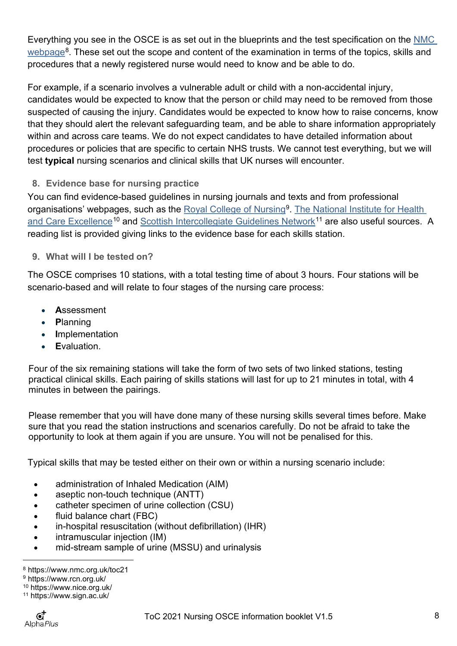Everything you see in the OSCE is as set out in the blueprints and the test specification on the NMC [webpage](https://www.nmc.org.uk/registration/joining-the-register/trained-outside-the-eueea/adult-general-nursing/)<sup>8</sup>. These set out the scope and content of the examination in terms of the topics, skills and procedures that a newly registered nurse would need to know and be able to do.

For example, if a scenario involves a vulnerable adult or child with a non-accidental injury, candidates would be expected to know that the person or child may need to be removed from those suspected of causing the injury. Candidates would be expected to know how to raise concerns, know that they should alert the relevant safeguarding team, and be able to share information appropriately within and across care teams. We do not expect candidates to have detailed information about procedures or policies that are specific to certain NHS trusts. We cannot test everything, but we will test **typical** nursing scenarios and clinical skills that UK nurses will encounter.

<span id="page-7-0"></span>**8. Evidence base for nursing practice**

You can find evidence-based guidelines in nursing journals and texts and from professional organisations' webpages, such as the [Royal College of Nursing](https://www.rcn.org.uk/)<sup>[9](#page-7-3)</sup>. [The National](https://www.nice.org.uk/) [Institute for](https://www.nice.org.uk/) Health [and Care Excellence](https://www.nice.org.uk/)<sup>[10](#page-7-4)</sup> and [Scottish Intercollegiate Guidelines Network](https://www.sign.ac.uk/)<sup>[11](#page-7-5)</sup> are also useful sources. A reading list is provided giving links to the evidence base for each skills station.

<span id="page-7-1"></span>**9. What will I be tested on?**

The OSCE comprises 10 stations, with a total testing time of about 3 hours. Four stations will be scenario-based and will relate to four stages of the nursing care process:

- **A**ssessment
- **P**lanning
- **I**mplementation
- **E**valuation.

Four of the six remaining stations will take the form of two sets of two linked stations, testing practical clinical skills. Each pairing of skills stations will last for up to 21 minutes in total, with 4 minutes in between the pairings.

Please remember that you will have done many of these nursing skills several times before. Make sure that you read the station instructions and scenarios carefully. Do not be afraid to take the opportunity to look at them again if you are unsure. You will not be penalised for this.

Typical skills that may be tested either on their own or within a nursing scenario include:

- administration of Inhaled Medication (AIM)
- aseptic non-touch technique (ANTT)
- catheter specimen of urine collection (CSU)
- fluid balance chart (FBC)
- in-hospital resuscitation (without defibrillation) (IHR)
- intramuscular injection (IM)
- mid-stream sample of urine (MSSU) and urinalysis

<span id="page-7-2"></span><sup>8</sup> https:[//www.nmc.org.uk/t](http://www.nmc.org.uk/registration/joining-the-register/register-nurse-midwife/trained-outside-the-eueea/adult-general-nursing/)oc21

<span id="page-7-3"></span><sup>9</sup> https:[//www.rcn.org.uk/](http://www.rcn.org.uk/)

<span id="page-7-4"></span><sup>10</sup> https:[//www.nice.org.uk/](http://www.nice.org.uk/)

<span id="page-7-5"></span><sup>11</sup> https:[//www.sign.ac.uk/](http://www.sign.ac.uk/)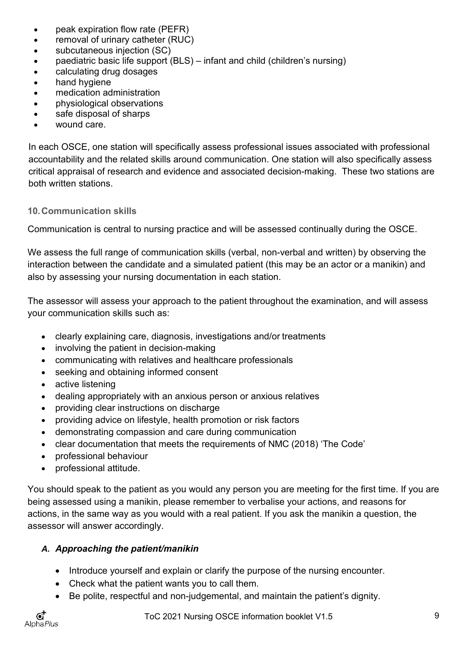- peak expiration flow rate (PEFR)
- removal of urinary catheter (RUC)
- subcutaneous injection (SC)
- paediatric basic life support (BLS) infant and child (children's nursing)
- calculating drug dosages
- hand hygiene
- medication administration
- physiological observations
- safe disposal of sharps
- wound care.

In each OSCE, one station will specifically assess professional issues associated with professional accountability and the related skills around communication. One station will also specifically assess critical appraisal of research and evidence and associated decision-making. These two stations are both written stations.

#### <span id="page-8-0"></span>**10.Communication skills**

Communication is central to nursing practice and will be assessed continually during the OSCE.

We assess the full range of communication skills (verbal, non-verbal and written) by observing the interaction between the candidate and a simulated patient (this may be an actor or a manikin) and also by assessing your nursing documentation in each station.

The assessor will assess your approach to the patient throughout the examination, and will assess your communication skills such as:

- clearly explaining care, diagnosis, investigations and/or treatments
- involving the patient in decision-making
- communicating with relatives and healthcare professionals
- seeking and obtaining informed consent
- active listening
- dealing appropriately with an anxious person or anxious relatives
- providing clear instructions on discharge
- providing advice on lifestyle, health promotion or risk factors
- demonstrating compassion and care during communication
- clear documentation that meets the requirements of NMC (2018) 'The Code'
- professional behaviour
- professional attitude.

You should speak to the patient as you would any person you are meeting for the first time. If you are being assessed using a manikin, please remember to verbalise your actions, and reasons for actions, in the same way as you would with a real patient. If you ask the manikin a question, the assessor will answer accordingly.

# *A. Approaching the patient/manikin*

- Introduce yourself and explain or clarify the purpose of the nursing encounter.
- Check what the patient wants you to call them.
- Be polite, respectful and non-judgemental, and maintain the patient's dignity.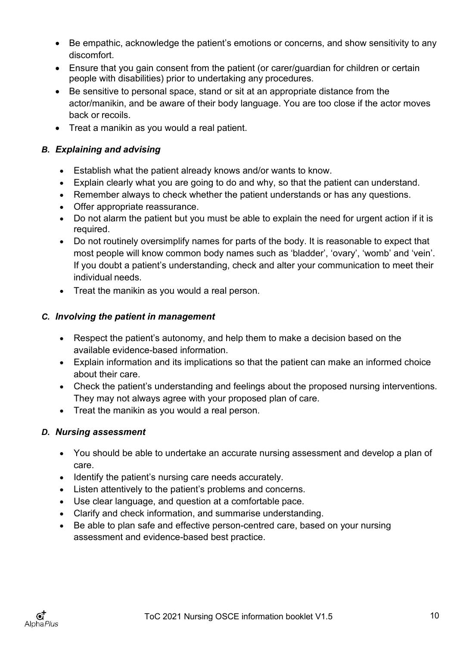- Be empathic, acknowledge the patient's emotions or concerns, and show sensitivity to any discomfort.
- Ensure that you gain consent from the patient (or carer/guardian for children or certain people with disabilities) prior to undertaking any procedures.
- Be sensitive to personal space, stand or sit at an appropriate distance from the actor/manikin, and be aware of their body language. You are too close if the actor moves back or recoils.
- Treat a manikin as you would a real patient.

# *B. Explaining and advising*

- Establish what the patient already knows and/or wants to know.
- Explain clearly what you are going to do and why, so that the patient can understand.
- Remember always to check whether the patient understands or has any questions.
- Offer appropriate reassurance.
- Do not alarm the patient but you must be able to explain the need for urgent action if it is required.
- Do not routinely oversimplify names for parts of the body. It is reasonable to expect that most people will know common body names such as 'bladder', 'ovary', 'womb' and 'vein'. If you doubt a patient's understanding, check and alter your communication to meet their individual needs.
- Treat the manikin as you would a real person.

# *C. Involving the patient in management*

- Respect the patient's autonomy, and help them to make a decision based on the available evidence-based information.
- Explain information and its implications so that the patient can make an informed choice about their care.
- Check the patient's understanding and feelings about the proposed nursing interventions. They may not always agree with your proposed plan of care.
- Treat the manikin as you would a real person.

# *D. Nursing assessment*

- You should be able to undertake an accurate nursing assessment and develop a plan of care.
- Identify the patient's nursing care needs accurately.
- Listen attentively to the patient's problems and concerns.
- Use clear language, and question at a comfortable pace.
- Clarify and check information, and summarise understanding.
- Be able to plan safe and effective person-centred care, based on your nursing assessment and evidence-based best practice.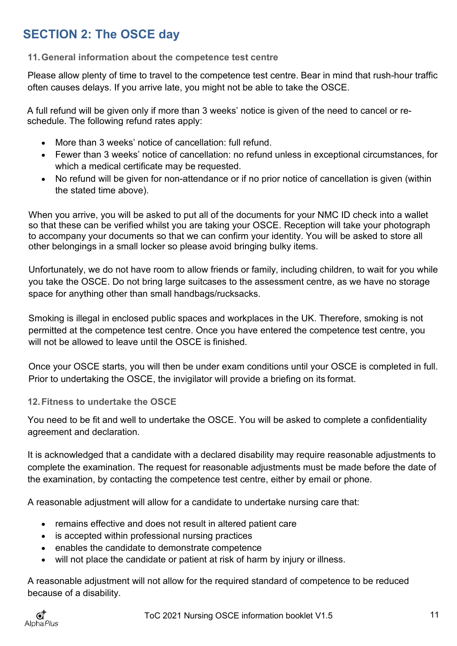# <span id="page-10-0"></span>**SECTION 2: The OSCE day**

# <span id="page-10-1"></span>**11.General information about the competence test centre**

Please allow plenty of time to travel to the competence test centre. Bear in mind that rush-hour traffic often causes delays. If you arrive late, you might not be able to take the OSCE.

A full refund will be given only if more than 3 weeks' notice is given of the need to cancel or reschedule. The following refund rates apply:

- More than 3 weeks' notice of cancellation: full refund.
- Fewer than 3 weeks' notice of cancellation: no refund unless in exceptional circumstances, for which a medical certificate may be requested.
- No refund will be given for non-attendance or if no prior notice of cancellation is given (within the stated time above).

When you arrive, you will be asked to put all of the documents for your NMC ID check into a wallet so that these can be verified whilst you are taking your OSCE. Reception will take your photograph to accompany your documents so that we can confirm your identity. You will be asked to store all other belongings in a small locker so please avoid bringing bulky items.

Unfortunately, we do not have room to allow friends or family, including children, to wait for you while you take the OSCE. Do not bring large suitcases to the assessment centre, as we have no storage space for anything other than small handbags/rucksacks.

Smoking is illegal in enclosed public spaces and workplaces in the UK. Therefore, smoking is not permitted at the competence test centre. Once you have entered the competence test centre, you will not be allowed to leave until the OSCF is finished.

Once your OSCE starts, you will then be under exam conditions until your OSCE is completed in full. Prior to undertaking the OSCE, the invigilator will provide a briefing on its format.

# <span id="page-10-2"></span>**12.Fitness to undertake the OSCE**

You need to be fit and well to undertake the OSCE. You will be asked to complete a confidentiality agreement and declaration.

It is acknowledged that a candidate with a declared disability may require reasonable adjustments to complete the examination. The request for reasonable adjustments must be made before the date of the examination, by contacting the competence test centre, either by email or phone.

A reasonable adjustment will allow for a candidate to undertake nursing care that:

- remains effective and does not result in altered patient care
- is accepted within professional nursing practices
- enables the candidate to demonstrate competence
- will not place the candidate or patient at risk of harm by injury or illness.

A reasonable adjustment will not allow for the required standard of competence to be reduced because of a disability.

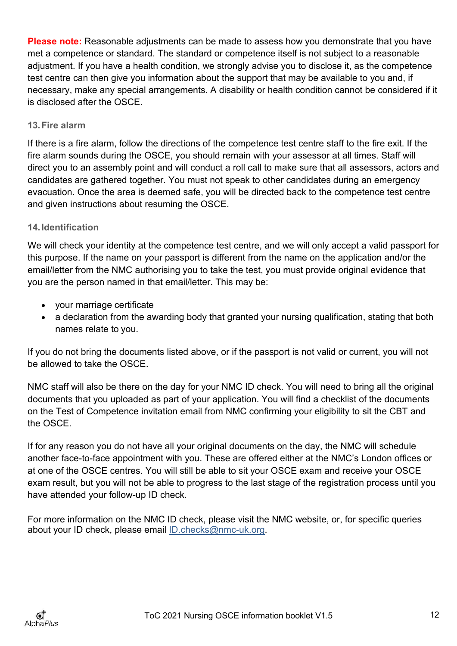**Please note:** Reasonable adjustments can be made to assess how you demonstrate that you have met a competence or standard. The standard or competence itself is not subject to a reasonable adjustment. If you have a health condition, we strongly advise you to disclose it, as the competence test centre can then give you information about the support that may be available to you and, if necessary, make any special arrangements. A disability or health condition cannot be considered if it is disclosed after the OSCE.

## <span id="page-11-0"></span>**13.Fire alarm**

If there is a fire alarm, follow the directions of the competence test centre staff to the fire exit. If the fire alarm sounds during the OSCE, you should remain with your assessor at all times. Staff will direct you to an assembly point and will conduct a roll call to make sure that all assessors, actors and candidates are gathered together. You must not speak to other candidates during an emergency evacuation. Once the area is deemed safe, you will be directed back to the competence test centre and given instructions about resuming the OSCE.

# <span id="page-11-1"></span>**14.Identification**

We will check your identity at the competence test centre, and we will only accept a valid passport for this purpose. If the name on your passport is different from the name on the application and/or the email/letter from the NMC authorising you to take the test, you must provide original evidence that you are the person named in that email/letter. This may be:

- your marriage certificate
- a declaration from the awarding body that granted your nursing qualification, stating that both names relate to you.

If you do not bring the documents listed above, or if the passport is not valid or current, you will not be allowed to take the OSCE.

NMC staff will also be there on the day for your NMC ID check. You will need to bring all the original documents that you uploaded as part of your application. You will find a checklist of the documents on the Test of Competence invitation email from NMC confirming your eligibility to sit the CBT and the OSCE.

If for any reason you do not have all your original documents on the day, the NMC will schedule another face-to-face appointment with you. These are offered either at the NMC's London offices or at one of the OSCE centres. You will still be able to sit your OSCE exam and receive your OSCE exam result, but you will not be able to progress to the last stage of the registration process until you have attended your follow-up ID check.

<span id="page-11-2"></span>For more information on the NMC ID check, please visit the NMC website, or, for specific queries about your ID check, please email [ID.checks@nmc-uk.org.](mailto:ID.checks@nmc-uk.org.)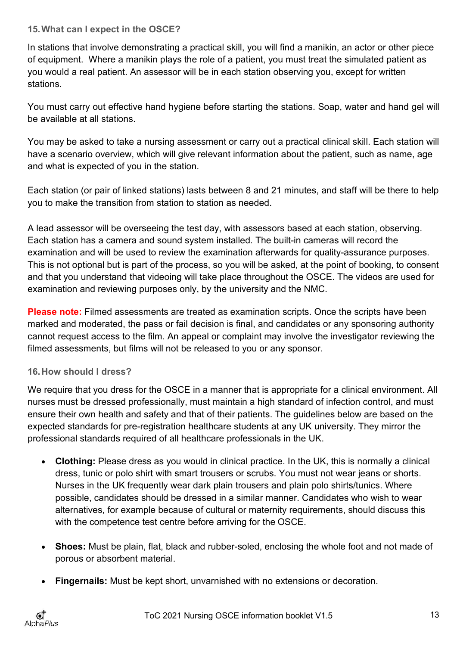# **15.What can I expect in the OSCE?**

In stations that involve demonstrating a practical skill, you will find a manikin, an actor or other piece of equipment. Where a manikin plays the role of a patient, you must treat the simulated patient as you would a real patient. An assessor will be in each station observing you, except for written stations.

You must carry out effective hand hygiene before starting the stations. Soap, water and hand gel will be available at all stations.

You may be asked to take a nursing assessment or carry out a practical clinical skill. Each station will have a scenario overview, which will give relevant information about the patient, such as name, age and what is expected of you in the station.

Each station (or pair of linked stations) lasts between 8 and 21 minutes, and staff will be there to help you to make the transition from station to station as needed.

A lead assessor will be overseeing the test day, with assessors based at each station, observing. Each station has a camera and sound system installed. The built-in cameras will record the examination and will be used to review the examination afterwards for quality-assurance purposes. This is not optional but is part of the process, so you will be asked, at the point of booking, to consent and that you understand that videoing will take place throughout the OSCE. The videos are used for examination and reviewing purposes only, by the university and the NMC.

**Please note:** Filmed assessments are treated as examination scripts. Once the scripts have been marked and moderated, the pass or fail decision is final, and candidates or any sponsoring authority cannot request access to the film. An appeal or complaint may involve the investigator reviewing the filmed assessments, but films will not be released to you or any sponsor.

# <span id="page-12-0"></span>**16.How should I dress?**

We require that you dress for the OSCE in a manner that is appropriate for a clinical environment. All nurses must be dressed professionally, must maintain a high standard of infection control, and must ensure their own health and safety and that of their patients. The guidelines below are based on the expected standards for pre-registration healthcare students at any UK university. They mirror the professional standards required of all healthcare professionals in the UK.

- **Clothing:** Please dress as you would in clinical practice. In the UK, this is normally a clinical dress, tunic or polo shirt with smart trousers or scrubs. You must not wear jeans or shorts. Nurses in the UK frequently wear dark plain trousers and plain polo shirts/tunics. Where possible, candidates should be dressed in a similar manner. Candidates who wish to wear alternatives, for example because of cultural or maternity requirements, should discuss this with the competence test centre before arriving for the OSCE.
- **Shoes:** Must be plain, flat, black and rubber-soled, enclosing the whole foot and not made of porous or absorbent material.
- **Fingernails:** Must be kept short, unvarnished with no extensions or decoration.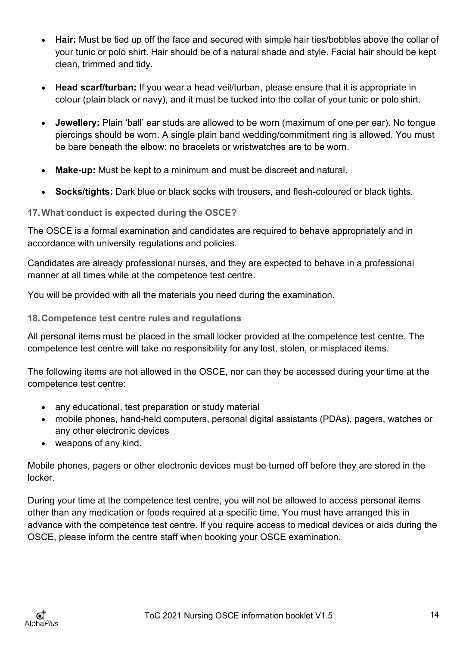- **Hair:** Must be tied up off the face and secured with simple hair ties/bobbles above the collar of your tunic or polo shirt. Hair should be of a natural shade and style. Facial hair should be kept clean, trimmed and tidy.
- **Head scarf/turban:** If you wear a head veil/turban, please ensure that it is appropriate in colour (plain black or navy), and it must be tucked into the collar of your tunic or polo shirt.
- **Jewellery:** Plain 'ball' ear studs are allowed to be worn (maximum of one per ear). No tongue piercings should be worn. A single plain band wedding/commitment ring is allowed. You must be bare beneath the elbow: no bracelets or wristwatches are to be worn.
- **Make-up:** Must be kept to a minimum and must be discreet and natural.
- **Socks/tights:** Dark blue or black socks with trousers, and flesh-coloured or black tights.

# <span id="page-13-0"></span>**17.What conduct is expected during the OSCE?**

The OSCE is a formal examination and candidates are required to behave appropriately and in accordance with university regulations and policies.

Candidates are already professional nurses, and they are expected to behave in a professional manner at all times while at the competence test centre.

You will be provided with all the materials you need during the examination.

## <span id="page-13-1"></span>**18.Competence test centre rules and regulations**

All personal items must be placed in the small locker provided at the competence test centre. The competence test centre will take no responsibility for any lost, stolen, or misplaced items.

The following items are not allowed in the OSCE, nor can they be accessed during your time at the competence test centre:

- any educational, test preparation or study material
- mobile phones, hand-held computers, personal digital assistants (PDAs), pagers, watches or any other electronic devices
- weapons of any kind.

Mobile phones, pagers or other electronic devices must be turned off before they are stored in the locker.

<span id="page-13-2"></span>During your time at the competence test centre, you will not be allowed to access personal items other than any medication or foods required at a specific time. You must have arranged this in advance with the competence test centre. If you require access to medical devices or aids during the OSCE, please inform the centre staff when booking your OSCE examination.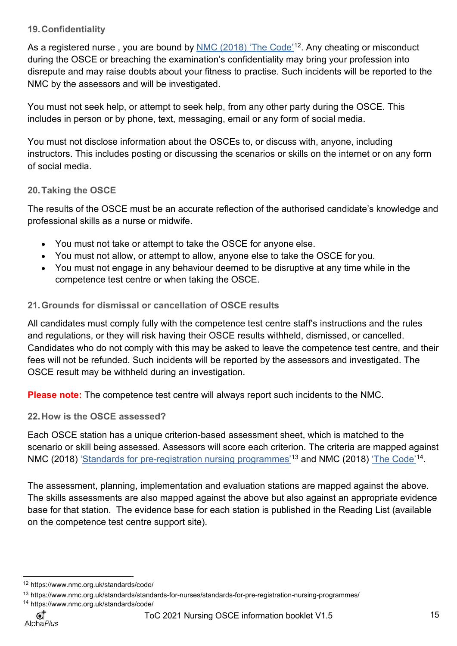# **19.Confidentiality**

As a registered nurse , you are bound by <u>NMC (2018) 'The Code'</u>[12](#page-14-3). Any cheating or misconduct during the OSCE or breaching the examination's confidentiality may bring your profession into disrepute and may raise doubts about your fitness to practise. Such incidents will be reported to the NMC by the assessors and will be investigated.

You must not seek help, or attempt to seek help, from any other party during the OSCE. This includes in person or by phone, text, messaging, email or any form of social media.

You must not disclose information about the OSCEs to, or discuss with, anyone, including instructors. This includes posting or discussing the scenarios or skills on the internet or on any form of social media.

# <span id="page-14-0"></span>**20.Taking the OSCE**

The results of the OSCE must be an accurate reflection of the authorised candidate's knowledge and professional skills as a nurse or midwife.

- You must not take or attempt to take the OSCE for anyone else.
- You must not allow, or attempt to allow, anyone else to take the OSCE for you.
- You must not engage in any behaviour deemed to be disruptive at any time while in the competence test centre or when taking the OSCE.

# <span id="page-14-1"></span>**21.Grounds for dismissal or cancellation of OSCE results**

All candidates must comply fully with the competence test centre staff's instructions and the rules and regulations, or they will risk having their OSCE results withheld, dismissed, or cancelled. Candidates who do not comply with this may be asked to leave the competence test centre, and their fees will not be refunded. Such incidents will be reported by the assessors and investigated. The OSCE result may be withheld during an investigation.

**Please note:** The competence test centre will always report such incidents to the NMC.

<span id="page-14-2"></span>**22.How is the OSCE assessed?**

Each OSCE station has a unique criterion-based assessment sheet, which is matched to the scenario or skill being assessed. Assessors will score each criterion. The criteria are mapped against NMC (2018) '<u>Standards for pre-registration nursing programmes'</u> [13](#page-14-4) and [NMC \(2018\)](https://www.nmc.org.uk/standards/code/) <u>'The Code'</u> [14.](#page-14-5)

The assessment, planning, implementation and evaluation stations are mapped against the above. The skills assessments are also mapped against the above but also against an appropriate evidence base for that station. The evidence base for each station is published in the Reading List (available on the competence test centre support site).

<span id="page-14-3"></span><sup>12</sup> <https://www.nmc.org.uk/standards/code/>

<span id="page-14-4"></span><sup>13</sup> https[://www.nmc.org.uk/standards/standards-for-nurses/standards-for-pre-registration-nursing-programmes/](http://www.nmc.org.uk/standards/standards-for-nurses/standards-for-pre-registration-nursing-programmes/)

<span id="page-14-5"></span><sup>14</sup> https[://www.nmc.org.uk/standards/code/](http://www.nmc.org.uk/standards/code/)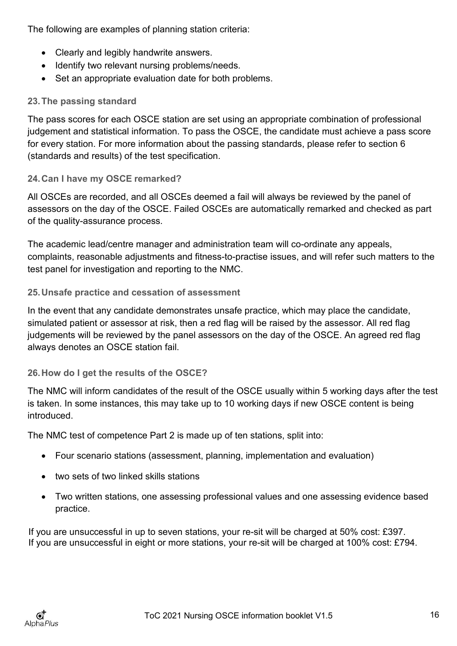The following are examples of planning station criteria:

- Clearly and legibly handwrite answers.
- Identify two relevant nursing problems/needs.
- Set an appropriate evaluation date for both problems.

# <span id="page-15-0"></span>**23.The passing standard**

The pass scores for each OSCE station are set using an appropriate combination of professional judgement and statistical information. To pass the OSCE, the candidate must achieve a pass score for every station. For more information about the passing standards, please refer to section 6 (standards and results) of the test specification.

# <span id="page-15-1"></span>**24.Can I have my OSCE remarked?**

All OSCEs are recorded, and all OSCEs deemed a fail will always be reviewed by the panel of assessors on the day of the OSCE. Failed OSCEs are automatically remarked and checked as part of the quality-assurance process.

The academic lead/centre manager and administration team will co-ordinate any appeals, complaints, reasonable adjustments and fitness-to-practise issues, and will refer such matters to the test panel for investigation and reporting to the NMC.

# <span id="page-15-2"></span>**25.Unsafe practice and cessation of assessment**

In the event that any candidate demonstrates unsafe practice, which may place the candidate, simulated patient or assessor at risk, then a red flag will be raised by the assessor. All red flag judgements will be reviewed by the panel assessors on the day of the OSCE. An agreed red flag always denotes an OSCE station fail.

# <span id="page-15-3"></span>**26.How do I get the results of the OSCE?**

The NMC will inform candidates of the result of the OSCE usually within 5 working days after the test is taken. In some instances, this may take up to 10 working days if new OSCE content is being introduced.

The NMC test of competence Part 2 is made up of ten stations, split into:

- Four scenario stations (assessment, planning, implementation and evaluation)
- two sets of two linked skills stations
- Two written stations, one assessing professional values and one assessing evidence based practice.

<span id="page-15-4"></span>If you are unsuccessful in up to seven stations, your re-sit will be charged at 50% cost: £397. If you are unsuccessful in eight or more stations, your re-sit will be charged at 100% cost: £794.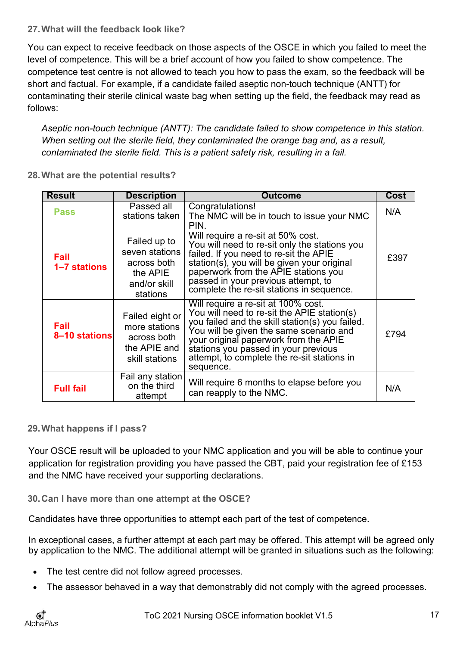# **27.What will the feedback look like?**

You can expect to receive feedback on those aspects of the OSCE in which you failed to meet the level of competence. This will be a brief account of how you failed to show competence. The competence test centre is not allowed to teach you how to pass the exam, so the feedback will be short and factual. For example, if a candidate failed aseptic non-touch technique (ANTT) for contaminating their sterile clinical waste bag when setting up the field, the feedback may read as follows:

*Aseptic non-touch technique (ANTT): The candidate failed to show competence in this station. When setting out the sterile field, they contaminated the orange bag and, as a result, contaminated the sterile field. This is a patient safety risk, resulting in a fail.*

<span id="page-16-0"></span>

| 28. What are the potential results? |  |
|-------------------------------------|--|
|-------------------------------------|--|

| <b>Result</b>         | <b>Description</b>                                                                    | <b>Outcome</b>                                                                                                                                                                                                                                                                                                                | Cost |
|-----------------------|---------------------------------------------------------------------------------------|-------------------------------------------------------------------------------------------------------------------------------------------------------------------------------------------------------------------------------------------------------------------------------------------------------------------------------|------|
| <b>Pass</b>           | Passed all<br>stations taken                                                          | Congratulations!<br>The NMC will be in touch to issue your NMC<br>PIN.                                                                                                                                                                                                                                                        | N/A  |
| Fail<br>1-7 stations  | Failed up to<br>seven stations<br>across both<br>the APIE<br>and/or skill<br>stations | Will require a re-sit at 50% cost.<br>You will need to re-sit only the stations you<br>failed. If you need to re-sit the APIE<br>station(s), you will be given your original<br>paperwork from the APIE stations you<br>passed in your previous attempt, to<br>complete the re-sit stations in sequence.                      | £397 |
| Fail<br>8-10 stations | Failed eight or<br>more stations<br>across both<br>the APIE and<br>skill stations     | Will require a re-sit at 100% cost.<br>You will need to re-sit the APIE station(s)<br>you failed and the skill station(s) you failed.<br>You will be given the same scenario and<br>your original paperwork from the APIE<br>stations you passed in your previous<br>attempt, to complete the re-sit stations in<br>sequence. | £794 |
| <b>Full fail</b>      | Fail any station<br>on the third<br>attempt                                           | Will require 6 months to elapse before you<br>can reapply to the NMC.                                                                                                                                                                                                                                                         | N/A  |

# <span id="page-16-1"></span>**29.What happens if I pass?**

Your OSCE result will be uploaded to your NMC application and you will be able to continue your application for registration providing you have passed the CBT, paid your registration fee of £153 and the NMC have received your supporting declarations.

<span id="page-16-2"></span>**30.Can I have more than one attempt at the OSCE?**

Candidates have three opportunities to attempt each part of the test of competence.

In exceptional cases, a further attempt at each part may be offered. This attempt will be agreed only by application to the NMC. The additional attempt will be granted in situations such as the following:

- The test centre did not follow agreed processes.
- The assessor behaved in a way that demonstrably did not comply with the agreed processes.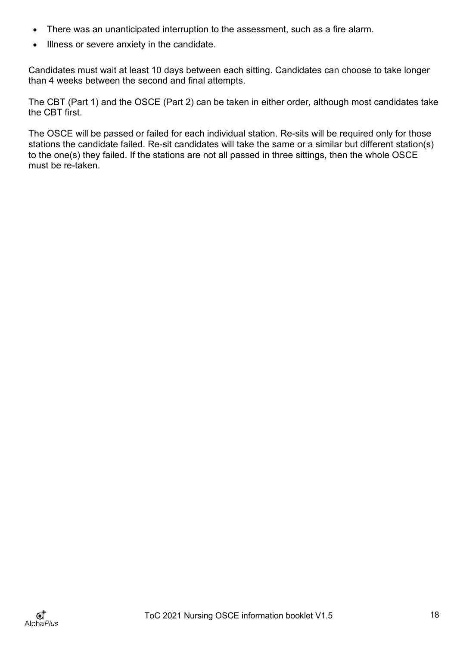- There was an unanticipated interruption to the assessment, such as a fire alarm.
- Illness or severe anxiety in the candidate.

Candidates must wait at least 10 days between each sitting. Candidates can choose to take longer than 4 weeks between the second and final attempts.

The CBT (Part 1) and the OSCE (Part 2) can be taken in either order, although most candidates take the CBT first.

The OSCE will be passed or failed for each individual station. Re-sits will be required only for those stations the candidate failed. Re-sit candidates will take the same or a similar but different station(s) to the one(s) they failed. If the stations are not all passed in three sittings, then the whole OSCE must be re-taken.

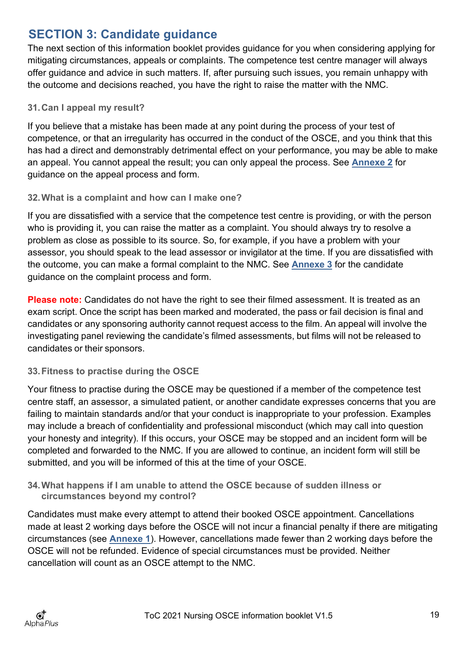# <span id="page-18-0"></span>**SECTION 3: Candidate guidance**

The next section of this information booklet provides guidance for you when considering applying for mitigating circumstances, appeals or complaints. The competence test centre manager will always offer guidance and advice in such matters. If, after pursuing such issues, you remain unhappy with the outcome and decisions reached, you have the right to raise the matter with the NMC.

# <span id="page-18-1"></span>**31.Can I appeal my result?**

If you believe that a mistake has been made at any point during the process of your test of competence, or that an irregularity has occurred in the conduct of the OSCE, and you think that this has had a direct and demonstrably detrimental effect on your performance, you may be able to make an appeal. You cannot appeal the result; you can only appeal the process. See **[Annexe 2](#page-25-0)** for guidance on the appeal process and form.

# <span id="page-18-2"></span>**32.What is a complaint and how can I make one?**

If you are dissatisfied with a service that the competence test centre is providing, or with the person who is providing it, you can raise the matter as a complaint. You should always try to resolve a problem as close as possible to its source. So, for example, if you have a problem with your assessor, you should speak to the lead assessor or invigilator at the time. If you are dissatisfied with the outcome, you can make a formal complaint to the NMC. See **[Annexe 3](#page-29-0)** for the candidate guidance on the complaint process and form.

**Please note:** Candidates do not have the right to see their filmed assessment. It is treated as an exam script. Once the script has been marked and moderated, the pass or fail decision is final and candidates or any sponsoring authority cannot request access to the film. An appeal will involve the investigating panel reviewing the candidate's filmed assessments, but films will not be released to candidates or their sponsors.

# <span id="page-18-3"></span>**33.Fitness to practise during the OSCE**

Your fitness to practise during the OSCE may be questioned if a member of the competence test centre staff, an assessor, a simulated patient, or another candidate expresses concerns that you are failing to maintain standards and/or that your conduct is inappropriate to your profession. Examples may include a breach of confidentiality and professional misconduct (which may call into question your honesty and integrity). If this occurs, your OSCE may be stopped and an incident form will be completed and forwarded to the NMC. If you are allowed to continue, an incident form will still be submitted, and you will be informed of this at the time of your OSCE.

# <span id="page-18-4"></span>**34.What happens if I am unable to attend the OSCE because of sudden illness or circumstances beyond my control?**

Candidates must make every attempt to attend their booked OSCE appointment. Cancellations made at least 2 working days before the OSCE will not incur a financial penalty if there are mitigating circumstances (see **[Annexe 1](#page-22-0)**). However, cancellations made fewer than 2 working days before the OSCE will not be refunded. Evidence of special circumstances must be provided. Neither cancellation will count as an OSCE attempt to the NMC.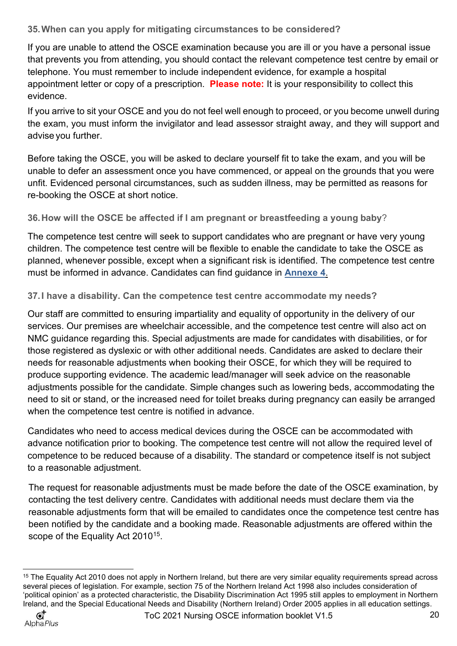<span id="page-19-0"></span>**35.When can you apply for mitigating circumstances to be considered?**

If you are unable to attend the OSCE examination because you are ill or you have a personal issue that prevents you from attending, you should contact the relevant competence test centre by email or telephone. You must remember to include independent evidence, for example a hospital appointment letter or copy of a prescription. **Please note:** It is your responsibility to collect this evidence.

If you arrive to sit your OSCE and you do not feel well enough to proceed, or you become unwell during the exam, you must inform the invigilator and lead assessor straight away, and they will support and advise you further.

Before taking the OSCE, you will be asked to declare yourself fit to take the exam, and you will be unable to defer an assessment once you have commenced, or appeal on the grounds that you were unfit. Evidenced personal circumstances, such as sudden illness, may be permitted as reasons for re-booking the OSCE at short notice.

<span id="page-19-1"></span>**36.How will the OSCE be affected if I am pregnant or breastfeeding a young baby**?

The competence test centre will seek to support candidates who are pregnant or have very young children. The competence test centre will be flexible to enable the candidate to take the OSCE as planned, whenever possible, except when a significant risk is identified. The competence test centre must be informed in advance. Candidates can find guidance in **[Annexe 4](#page-34-0)**.

# <span id="page-19-2"></span>**37.I have a disability. Can the competence test centre accommodate my needs?**

Our staff are committed to ensuring impartiality and equality of opportunity in the delivery of our services. Our premises are wheelchair accessible, and the competence test centre will also act on NMC guidance regarding this. Special adjustments are made for candidates with disabilities, or for those registered as dyslexic or with other additional needs. Candidates are asked to declare their needs for reasonable adjustments when booking their OSCE, for which they will be required to produce supporting evidence. The academic lead/manager will seek advice on the reasonable adjustments possible for the candidate. Simple changes such as lowering beds, accommodating the need to sit or stand, or the increased need for toilet breaks during pregnancy can easily be arranged when the competence test centre is notified in advance.

Candidates who need to access medical devices during the OSCE can be accommodated with advance notification prior to booking. The competence test centre will not allow the required level of competence to be reduced because of a disability. The standard or competence itself is not subject to a reasonable adjustment.

The request for reasonable adjustments must be made before the date of the OSCE examination, by contacting the test delivery centre. Candidates with additional needs must declare them via the reasonable adjustments form that will be emailed to candidates once the competence test centre has been notified by the candidate and a booking made. Reasonable adjustments are offered within the scope of the Equality Act 2010<sup>15</sup>.

<span id="page-19-3"></span><sup>&</sup>lt;sup>15</sup> The Equality Act 2010 does not apply in Northern Ireland, but there are very similar equality requirements spread across several pieces of legislation. For example, section 75 of the Northern Ireland Act 1998 also includes consideration of 'political opinion' as a protected characteristic, the Disability Discrimination Act 1995 still apples to employment in Northern Ireland, and the Special Educational Needs and Disability (Northern Ireland) Order 2005 applies in all education settings.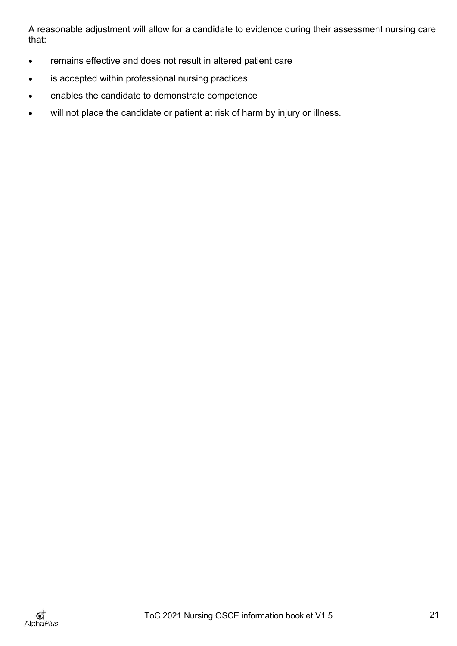A reasonable adjustment will allow for a candidate to evidence during their assessment nursing care that:

- remains effective and does not result in altered patient care
- is accepted within professional nursing practices
- enables the candidate to demonstrate competence
- will not place the candidate or patient at risk of harm by injury or illness.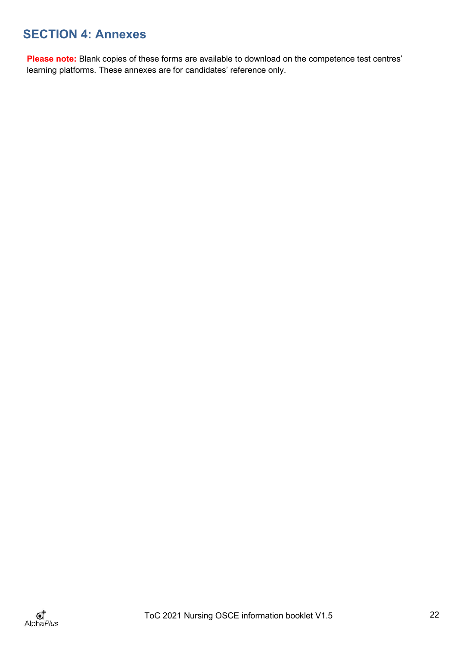# <span id="page-21-0"></span>**SECTION 4: Annexes**

Please note: Blank copies of these forms are available to download on the competence test centres' learning platforms. These annexes are for candidates' reference only.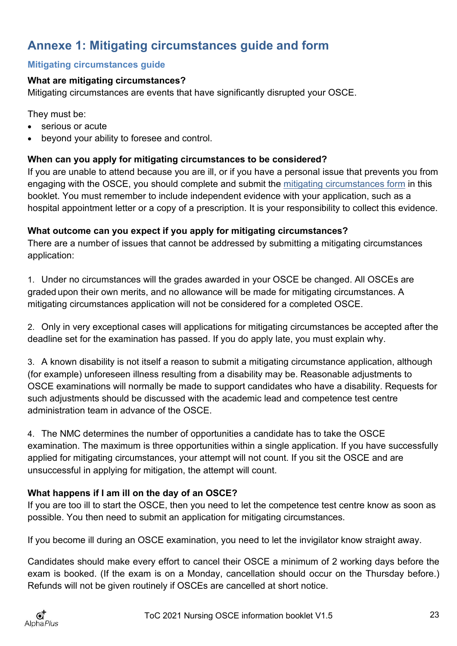# <span id="page-22-0"></span>**Annexe 1: Mitigating circumstances guide and form**

# <span id="page-22-1"></span>**Mitigating circumstances guide**

# **What are mitigating circumstances?**

Mitigating circumstances are events that have significantly disrupted your OSCE.

They must be:

- serious or acute
- beyond your ability to foresee and control.

# **When can you apply for mitigating circumstances to be considered?**

If you are unable to attend because you are ill, or if you have a personal issue that prevents you from engaging with the OSCE, you should complete and submit the [mitigating circumstances form](#page-23-0) in this booklet. You must remember to include independent evidence with your application, such as a hospital appointment letter or a copy of a prescription. It is your responsibility to collect this evidence.

# **What outcome can you expect if you apply for mitigating circumstances?**

There are a number of issues that cannot be addressed by submitting a mitigating circumstances application:

1. Under no circumstances will the grades awarded in your OSCE be changed. All OSCEs are graded upon their own merits, and no allowance will be made for mitigating circumstances. A mitigating circumstances application will not be considered for a completed OSCE.

2. Only in very exceptional cases will applications for mitigating circumstances be accepted after the deadline set for the examination has passed. If you do apply late, you must explain why.

3. A known disability is not itself a reason to submit a mitigating circumstance application, although (for example) unforeseen illness resulting from a disability may be. Reasonable adjustments to OSCE examinations will normally be made to support candidates who have a disability. Requests for such adjustments should be discussed with the academic lead and competence test centre administration team in advance of the OSCE.

4. The NMC determines the number of opportunities a candidate has to take the OSCE examination. The maximum is three opportunities within a single application. If you have successfully applied for mitigating circumstances, your attempt will not count. If you sit the OSCE and are unsuccessful in applying for mitigation, the attempt will count.

# **What happens if I am ill on the day of an OSCE?**

If you are too ill to start the OSCE, then you need to let the competence test centre know as soon as possible. You then need to submit an application for mitigating circumstances.

If you become ill during an OSCE examination, you need to let the invigilator know straight away.

Candidates should make every effort to cancel their OSCE a minimum of 2 working days before the exam is booked. (If the exam is on a Monday, cancellation should occur on the Thursday before.) Refunds will not be given routinely if OSCEs are cancelled at short notice.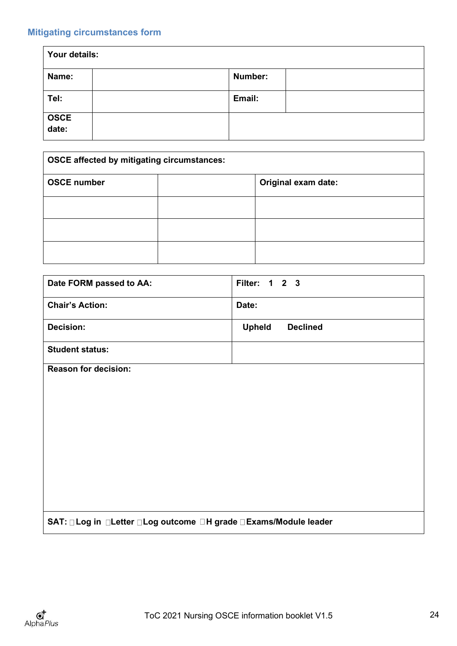# <span id="page-23-0"></span>**Mitigating circumstances form**

| Your details: |         |  |
|---------------|---------|--|
| Name:         | Number: |  |
| Tel:          | Email:  |  |
| OSCE<br>date: |         |  |

| <b>OSCE affected by mitigating circumstances:</b> |  |                     |
|---------------------------------------------------|--|---------------------|
| <b>OSCE number</b>                                |  | Original exam date: |
|                                                   |  |                     |
|                                                   |  |                     |
|                                                   |  |                     |

| Date FORM passed to AA:                                             | Filter: 1 2 3                    |  |
|---------------------------------------------------------------------|----------------------------------|--|
| <b>Chair's Action:</b>                                              | Date:                            |  |
| <b>Decision:</b>                                                    | <b>Upheld</b><br><b>Declined</b> |  |
| <b>Student status:</b>                                              |                                  |  |
| <b>Reason for decision:</b>                                         |                                  |  |
|                                                                     |                                  |  |
|                                                                     |                                  |  |
|                                                                     |                                  |  |
|                                                                     |                                  |  |
|                                                                     |                                  |  |
|                                                                     |                                  |  |
|                                                                     |                                  |  |
|                                                                     |                                  |  |
|                                                                     |                                  |  |
| SAT: □ Log in □Letter □ Log outcome □ H grade □ Exams/Module leader |                                  |  |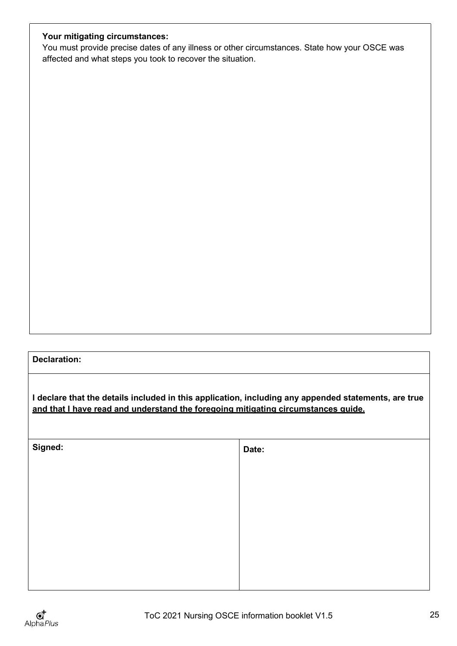# **Your mitigating circumstances:**

You must provide precise dates of any illness or other circumstances. State how your OSCE was affected and what steps you took to recover the situation.

#### **Declaration:**

**I declare that the details included in this application, including any appended statements, are true and that I have read and understand the foregoing mitigating circumstances guide.**

| Signed: | Date: |
|---------|-------|
|         |       |
|         |       |
|         |       |
|         |       |
|         |       |
|         |       |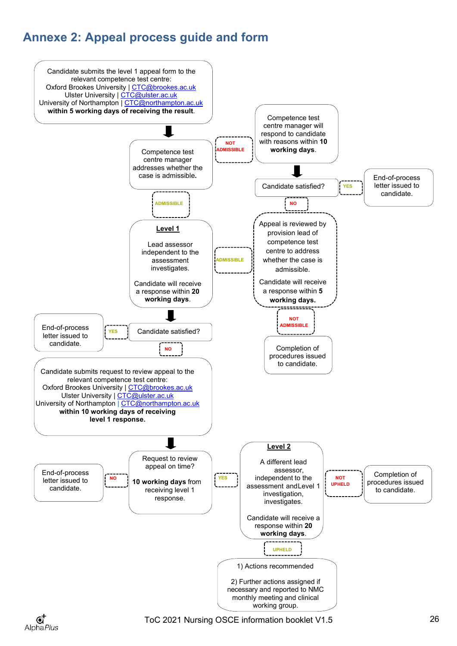# <span id="page-25-0"></span>**Annexe 2: Appeal process guide and form**



ToC 2021 Nursing OSCE information booklet V1.5 26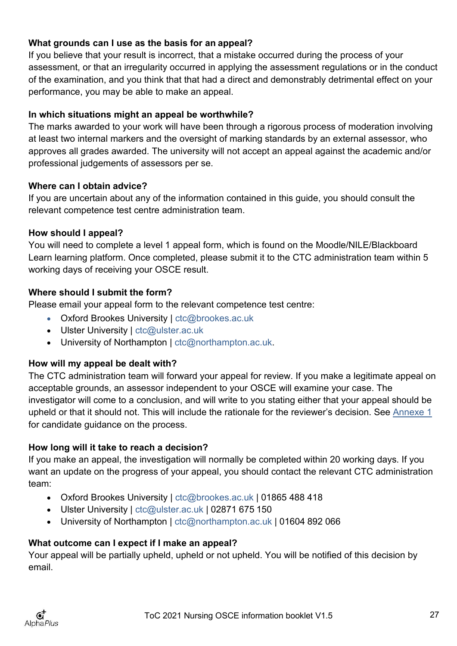# **What grounds can I use as the basis for an appeal?**

If you believe that your result is incorrect, that a mistake occurred during the process of your assessment, or that an irregularity occurred in applying the assessment regulations or in the conduct of the examination, and you think that that had a direct and demonstrably detrimental effect on your performance, you may be able to make an appeal.

# **In which situations might an appeal be worthwhile?**

The marks awarded to your work will have been through a rigorous process of moderation involving at least two internal markers and the oversight of marking standards by an external assessor, who approves all grades awarded. The university will not accept an appeal against the academic and/or professional judgements of assessors per se.

# **Where can I obtain advice?**

If you are uncertain about any of the information contained in this guide, you should consult the relevant competence test centre administration team.

# **How should I appeal?**

You will need to complete a level 1 appeal form, which is found on the Moodle/NILE/Blackboard Learn learning platform. Once completed, please submit it to the CTC administration team within 5 working days of receiving your OSCE result.

# **Where should I submit the form?**

Please email your appeal form to the relevant competence test centre:

- Oxford Brookes University | [ctc@brookes.ac.uk](mailto:ctc@brookes.ac.uk)
- Ulster University | [ctc@ulster.ac.uk](mailto:ctc@ulster.ac.uk)
- University of Northampton | [ctc@northampton.ac.uk.](mailto:ctc@northampton.ac.uk)

# **How will my appeal be dealt with?**

The CTC administration team will forward your appeal for review. If you make a legitimate appeal on acceptable grounds, an assessor independent to your OSCE will examine your case. The investigator will come to a conclusion, and will write to you stating either that your appeal should be upheld or that it should not. This will include the rationale for the reviewer's decision. See [Annexe 1](#page-22-0) for candidate guidance on the process.

# **How long will it take to reach a decision?**

If you make an appeal, the investigation will normally be completed within 20 working days. If you want an update on the progress of your appeal, you should contact the relevant CTC administration team:

- Oxford Brookes University | [ctc@brookes.ac.uk |](mailto:ctc@brookes.ac.uk) 01865 488 418
- Ulster University | [ctc@ulster.ac.uk](mailto:ctc@ulster.ac.uk) | 02871 675 150
- University of Northampton | [ctc@northampton.ac.uk](mailto:ctc@northampton.ac.uk) | 01604 892 066

# **What outcome can I expect if I make an appeal?**

Your appeal will be partially upheld, upheld or not upheld. You will be notified of this decision by email.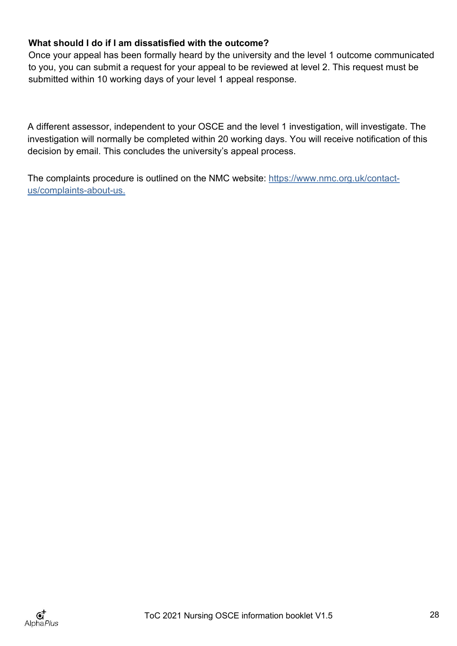# **What should I do if I am dissatisfied with the outcome?**

Once your appeal has been formally heard by the university and the level 1 outcome communicated to you, you can submit a request for your appeal to be reviewed at level 2. This request must be submitted within 10 working days of your level 1 appeal response.

A different assessor, independent to your OSCE and the level 1 investigation, will investigate. The investigation will normally be completed within 20 working days. You will receive notification of this decision by email. This concludes the university's appeal process.

The complaints procedure is outlined on the NMC website: [https://www.nmc.org.uk/contact](https://www.nmc.org.uk/contact-us/complaints-about-us)[us/complaints-about-us.](https://www.nmc.org.uk/contact-us/complaints-about-us)

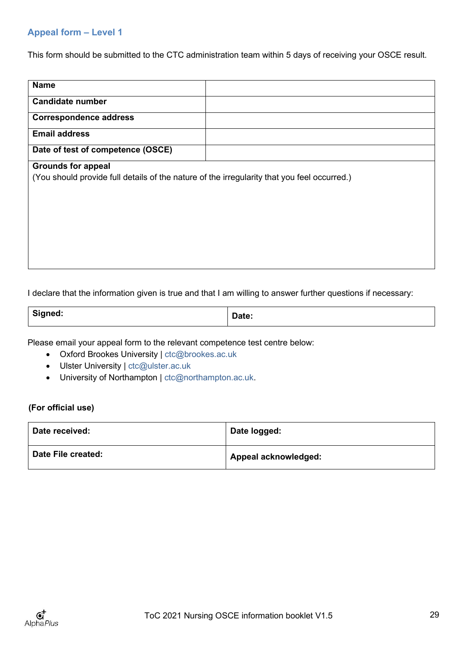#### <span id="page-28-0"></span>**Appeal form – Level 1**

This form should be submitted to the CTC administration team within 5 days of receiving your OSCE result.

| <b>Name</b>                                                                                 |  |
|---------------------------------------------------------------------------------------------|--|
| <b>Candidate number</b>                                                                     |  |
| <b>Correspondence address</b>                                                               |  |
| <b>Email address</b>                                                                        |  |
| Date of test of competence (OSCE)                                                           |  |
| <b>Grounds for appeal</b>                                                                   |  |
| (You should provide full details of the nature of the irregularity that you feel occurred.) |  |
|                                                                                             |  |
|                                                                                             |  |
|                                                                                             |  |
|                                                                                             |  |
|                                                                                             |  |
|                                                                                             |  |
|                                                                                             |  |
|                                                                                             |  |

I declare that the information given is true and that I am willing to answer further questions if necessary:

| $\sim$<br>signea. | Dalc. |
|-------------------|-------|
|-------------------|-------|

Please email your appeal form to the relevant competence test centre below:

- Oxford Brookes University | [ctc@brookes.ac.uk](mailto:ctc@brookes.ac.uk)
- Ulster University | [ctc@ulster.ac.uk](mailto:ctc@ulster.ac.uk)
- University of Northampton | [ctc@northampton.ac.uk.](mailto:ctc@northampton.ac.uk)

#### **(For official use)**

| Date received:     | Date logged:         |
|--------------------|----------------------|
| Date File created: | Appeal acknowledged: |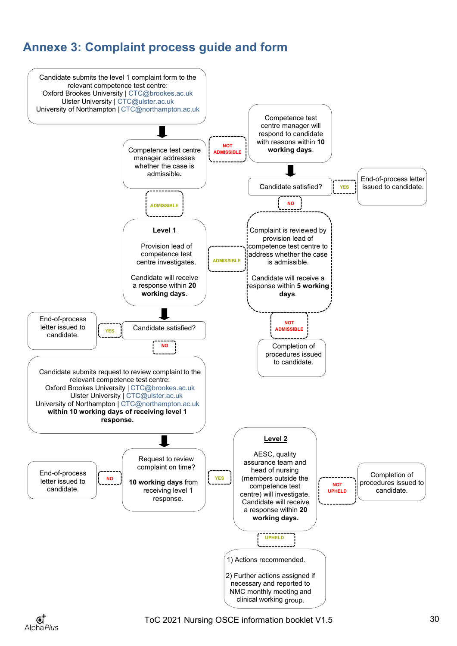# <span id="page-29-0"></span>**Annexe 3: Complaint process guide and form**



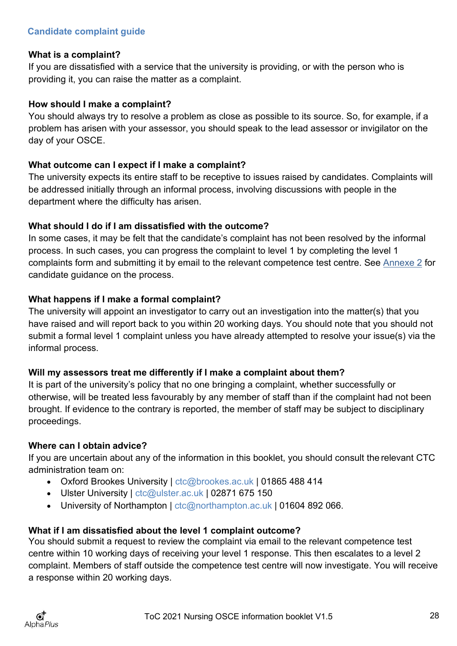#### <span id="page-30-0"></span>**What is a complaint?**

If you are dissatisfied with a service that the university is providing, or with the person who is providing it, you can raise the matter as a complaint.

#### **How should I make a complaint?**

You should always try to resolve a problem as close as possible to its source. So, for example, if a problem has arisen with your assessor, you should speak to the lead assessor or invigilator on the day of your OSCE.

# **What outcome can I expect if I make a complaint?**

The university expects its entire staff to be receptive to issues raised by candidates. Complaints will be addressed initially through an informal process, involving discussions with people in the department where the difficulty has arisen.

# **What should I do if I am dissatisfied with the outcome?**

In some cases, it may be felt that the candidate's complaint has not been resolved by the informal process. In such cases, you can progress the complaint to level 1 by completing the level 1 complaints form and submitting it by email to the relevant competence test centre. See [Annexe 2](#page-25-0) for candidate guidance on the process.

# **What happens if I make a formal complaint?**

The university will appoint an investigator to carry out an investigation into the matter(s) that you have raised and will report back to you within 20 working days. You should note that you should not submit a formal level 1 complaint unless you have already attempted to resolve your issue(s) via the informal process.

# **Will my assessors treat me differently if I make a complaint about them?**

It is part of the university's policy that no one bringing a complaint, whether successfully or otherwise, will be treated less favourably by any member of staff than if the complaint had not been brought. If evidence to the contrary is reported, the member of staff may be subject to disciplinary proceedings.

# **Where can I obtain advice?**

If you are uncertain about any of the information in this booklet, you should consult the relevant CTC administration team on:

- Oxford Brookes University | [ctc@brookes.ac.uk |](mailto:ctc@brookes.ac.uk) 01865 488 414
- Ulster University | [ctc@ulster.ac.uk |](mailto:ctc@ulster.ac.uk) 02871 675 150
- University of Northampton | [ctc@northampton.ac.uk |](mailto:ctc@northampton.ac.uk) 01604 892 066.

# **What if I am dissatisfied about the level 1 complaint outcome?**

You should submit a request to review the complaint via email to the relevant competence test centre within 10 working days of receiving your level 1 response. This then escalates to a level 2 complaint. Members of staff outside the competence test centre will now investigate. You will receive a response within 20 working days.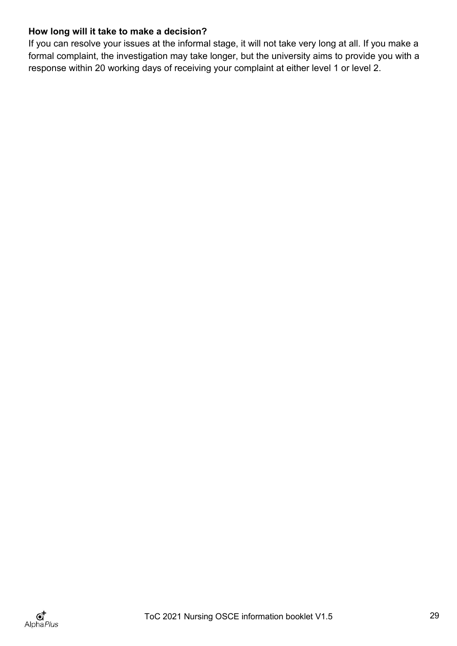# **How long will it take to make a decision?**

If you can resolve your issues at the informal stage, it will not take very long at all. If you make a formal complaint, the investigation may take longer, but the university aims to provide you with a response within 20 working days of receiving your complaint at either level 1 or level 2.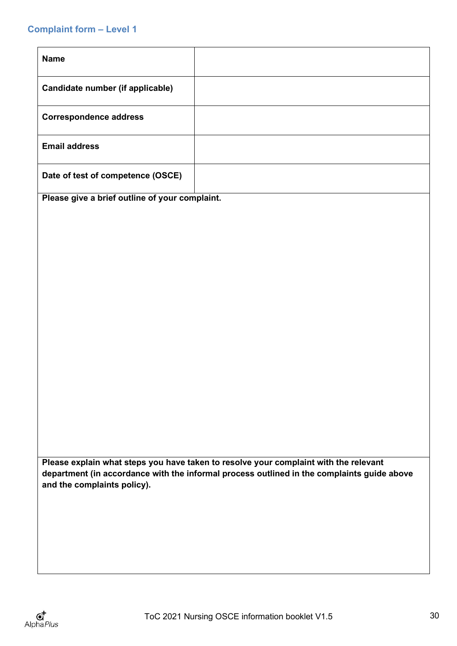#### <span id="page-32-0"></span>**Complaint form – Level 1**

| <b>Name</b>                       |  |
|-----------------------------------|--|
| Candidate number (if applicable)  |  |
| <b>Correspondence address</b>     |  |
| <b>Email address</b>              |  |
| Date of test of competence (OSCE) |  |

**Please give a brief outline of your complaint.**

**Please explain what steps you have taken to resolve your complaint with the relevant department (in accordance with the informal process outlined in the complaints guide above and the complaints policy).**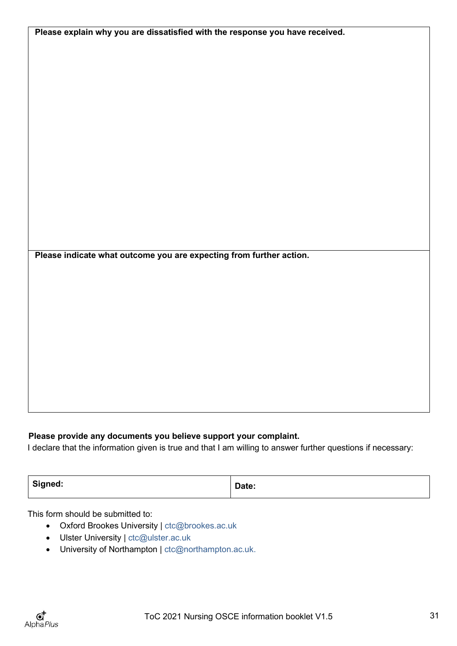| Please explain why you are dissatisfied with the response you have received. |  |
|------------------------------------------------------------------------------|--|
|                                                                              |  |
|                                                                              |  |
|                                                                              |  |
|                                                                              |  |
|                                                                              |  |
|                                                                              |  |
|                                                                              |  |
|                                                                              |  |
|                                                                              |  |
|                                                                              |  |
|                                                                              |  |
|                                                                              |  |
|                                                                              |  |
|                                                                              |  |
|                                                                              |  |
|                                                                              |  |
|                                                                              |  |
|                                                                              |  |
|                                                                              |  |
|                                                                              |  |
| Please indicate what outcome you are expecting from further action.          |  |
|                                                                              |  |
|                                                                              |  |
|                                                                              |  |
|                                                                              |  |
|                                                                              |  |
|                                                                              |  |
|                                                                              |  |
|                                                                              |  |
|                                                                              |  |
|                                                                              |  |
|                                                                              |  |
|                                                                              |  |
|                                                                              |  |

#### **Please provide any documents you believe support your complaint.**

I declare that the information given is true and that I am willing to answer further questions if necessary:

| Signed: | Date: |
|---------|-------|
|         |       |

This form should be submitted to:

- Oxford Brookes University | [ctc@brookes.ac.uk](mailto:ctc@brookes.ac.uk)
- Ulster University | [ctc@ulster.ac.uk](mailto:ctc@ulster.ac.uk)
- University of Northampton | [ctc@northampton.ac.uk.](mailto:ctc@northampton.ac.uk)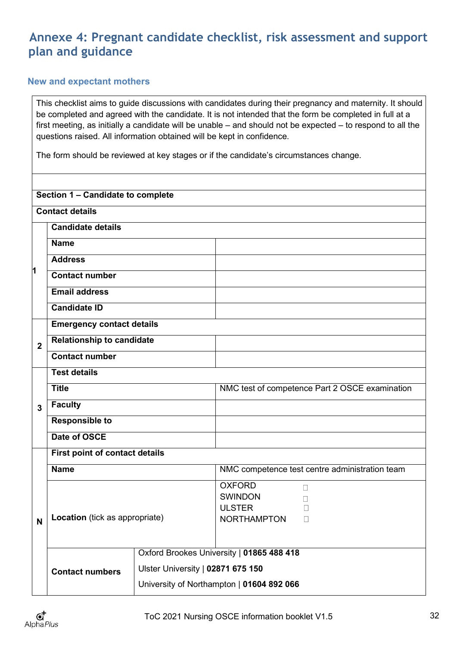# <span id="page-34-0"></span>**Annexe 4: Pregnant candidate checklist, risk assessment and support plan and guidance**

#### <span id="page-34-1"></span>**New and expectant mothers**

This checklist aims to guide discussions with candidates during their pregnancy and maternity. It should be completed and agreed with the candidate. It is not intended that the form be completed in full at a first meeting, as initially a candidate will be unable – and should not be expected – to respond to all the questions raised. All information obtained will be kept in confidence.

The form should be reviewed at key stages or if the candidate's circumstances change.

| Section 1 - Candidate to complete |                                  |                                   |                                                                                            |  |  |
|-----------------------------------|----------------------------------|-----------------------------------|--------------------------------------------------------------------------------------------|--|--|
|                                   | <b>Contact details</b>           |                                   |                                                                                            |  |  |
|                                   | <b>Candidate details</b>         |                                   |                                                                                            |  |  |
|                                   | <b>Name</b>                      |                                   |                                                                                            |  |  |
|                                   | <b>Address</b>                   |                                   |                                                                                            |  |  |
| 1                                 | <b>Contact number</b>            |                                   |                                                                                            |  |  |
|                                   | <b>Email address</b>             |                                   |                                                                                            |  |  |
|                                   | <b>Candidate ID</b>              |                                   |                                                                                            |  |  |
|                                   | <b>Emergency contact details</b> |                                   |                                                                                            |  |  |
| $\overline{2}$                    | <b>Relationship to candidate</b> |                                   |                                                                                            |  |  |
|                                   | <b>Contact number</b>            |                                   |                                                                                            |  |  |
|                                   | <b>Test details</b>              |                                   |                                                                                            |  |  |
|                                   | <b>Title</b>                     |                                   | NMC test of competence Part 2 OSCE examination                                             |  |  |
| 3                                 | <b>Faculty</b>                   |                                   |                                                                                            |  |  |
|                                   | <b>Responsible to</b>            |                                   |                                                                                            |  |  |
|                                   | Date of OSCE                     |                                   |                                                                                            |  |  |
|                                   | First point of contact details   |                                   |                                                                                            |  |  |
|                                   | <b>Name</b>                      |                                   | NMC competence test centre administration team                                             |  |  |
| N                                 | Location (tick as appropriate)   |                                   | <b>OXFORD</b><br>$\Box$<br><b>SWINDON</b><br><b>ULSTER</b><br><b>NORTHAMPTON</b><br>$\Box$ |  |  |
|                                   | <b>Contact numbers</b>           | Ulster University   02871 675 150 | Oxford Brookes University   01865 488 418<br>University of Northampton   01604 892 066     |  |  |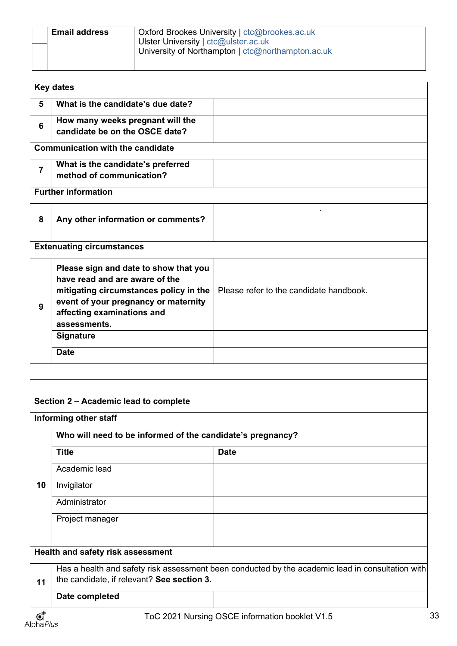| <b>Email address</b> | Oxford Brookes University   ctc@brookes.ac.uk     |
|----------------------|---------------------------------------------------|
|                      | Ulster University   ctc@ulster.ac.uk              |
|                      | University of Northampton   ctc@northampton.ac.uk |
|                      |                                                   |

|                        | <b>Key dates</b>                                                                                                                                                                                        |                                                |
|------------------------|---------------------------------------------------------------------------------------------------------------------------------------------------------------------------------------------------------|------------------------------------------------|
| 5                      | What is the candidate's due date?                                                                                                                                                                       |                                                |
|                        | How many weeks pregnant will the                                                                                                                                                                        |                                                |
| 6                      | candidate be on the OSCE date?                                                                                                                                                                          |                                                |
|                        | <b>Communication with the candidate</b>                                                                                                                                                                 |                                                |
| $\overline{7}$         | What is the candidate's preferred<br>method of communication?                                                                                                                                           |                                                |
|                        | <b>Further information</b>                                                                                                                                                                              |                                                |
| 8                      | Any other information or comments?                                                                                                                                                                      |                                                |
|                        | <b>Extenuating circumstances</b>                                                                                                                                                                        |                                                |
| 9                      | Please sign and date to show that you<br>have read and are aware of the<br>mitigating circumstances policy in the<br>event of your pregnancy or maternity<br>affecting examinations and<br>assessments. | Please refer to the candidate handbook.        |
|                        | <b>Signature</b>                                                                                                                                                                                        |                                                |
|                        | <b>Date</b>                                                                                                                                                                                             |                                                |
|                        | Section 2 - Academic lead to complete<br>Informing other staff<br>Who will need to be informed of the candidate's pregnancy?                                                                            |                                                |
|                        | <b>Title</b>                                                                                                                                                                                            | <b>Date</b>                                    |
|                        | Academic lead                                                                                                                                                                                           |                                                |
| 10                     | Invigilator                                                                                                                                                                                             |                                                |
|                        | Administrator                                                                                                                                                                                           |                                                |
|                        | Project manager                                                                                                                                                                                         |                                                |
|                        |                                                                                                                                                                                                         |                                                |
|                        | Health and safety risk assessment                                                                                                                                                                       |                                                |
| 11                     | Has a health and safety risk assessment been conducted by the academic lead in consultation with<br>the candidate, if relevant? See section 3.                                                          |                                                |
|                        | Date completed                                                                                                                                                                                          |                                                |
| $\mathbf{C}^{\dagger}$ |                                                                                                                                                                                                         | ToC 2021 Nursing OSCE information booklet V1.5 |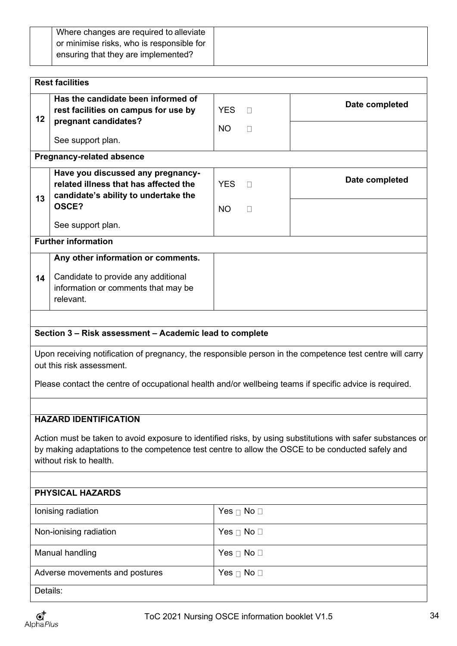| or minimise risks, who is responsible for<br>ensuring that they are implemented? | Where changes are required to alleviate |
|----------------------------------------------------------------------------------|-----------------------------------------|
|                                                                                  |                                         |
|                                                                                  |                                         |

| <b>Rest facilities</b>                                                                                                                                                                                                                            |                                                                                                                             |                         |                        |                |
|---------------------------------------------------------------------------------------------------------------------------------------------------------------------------------------------------------------------------------------------------|-----------------------------------------------------------------------------------------------------------------------------|-------------------------|------------------------|----------------|
| 12                                                                                                                                                                                                                                                | Has the candidate been informed of<br>rest facilities on campus for use by<br>pregnant candidates?                          | <b>YES</b><br><b>NO</b> | $\Box$<br>$\Box$       | Date completed |
|                                                                                                                                                                                                                                                   | See support plan.                                                                                                           |                         |                        |                |
|                                                                                                                                                                                                                                                   | <b>Pregnancy-related absence</b>                                                                                            |                         |                        |                |
| 13                                                                                                                                                                                                                                                | Have you discussed any pregnancy-<br>related illness that has affected the<br>candidate's ability to undertake the<br>OSCE? | <b>YES</b><br>NO.       | $\Box$                 | Date completed |
|                                                                                                                                                                                                                                                   | See support plan.                                                                                                           |                         | П                      |                |
|                                                                                                                                                                                                                                                   | <b>Further information</b>                                                                                                  |                         |                        |                |
|                                                                                                                                                                                                                                                   | Any other information or comments.                                                                                          |                         |                        |                |
| 14                                                                                                                                                                                                                                                | Candidate to provide any additional<br>information or comments that may be<br>relevant.                                     |                         |                        |                |
|                                                                                                                                                                                                                                                   |                                                                                                                             |                         |                        |                |
|                                                                                                                                                                                                                                                   | Section 3 - Risk assessment - Academic lead to complete                                                                     |                         |                        |                |
| Upon receiving notification of pregnancy, the responsible person in the competence test centre will carry<br>out this risk assessment.<br>Please contact the centre of occupational health and/or wellbeing teams if specific advice is required. |                                                                                                                             |                         |                        |                |
|                                                                                                                                                                                                                                                   |                                                                                                                             |                         |                        |                |
|                                                                                                                                                                                                                                                   | <b>HAZARD IDENTIFICATION</b>                                                                                                |                         |                        |                |
| Action must be taken to avoid exposure to identified risks, by using substitutions with safer substances or<br>by making adaptations to the competence test centre to allow the OSCE to be conducted safely and<br>without risk to health.        |                                                                                                                             |                         |                        |                |
| <b>PHYSICAL HAZARDS</b>                                                                                                                                                                                                                           |                                                                                                                             |                         |                        |                |
|                                                                                                                                                                                                                                                   | lonising radiation                                                                                                          |                         | Yes $\Box$ No $\Box$   |                |
|                                                                                                                                                                                                                                                   | Non-ionising radiation                                                                                                      |                         | Yes $\sqcap$ No $\Box$ |                |
|                                                                                                                                                                                                                                                   | Manual handling                                                                                                             |                         | Yes $\Box$ No $\Box$   |                |
|                                                                                                                                                                                                                                                   | Adverse movements and postures                                                                                              |                         | Yes $\Box$ No $\Box$   |                |
| Details:                                                                                                                                                                                                                                          |                                                                                                                             |                         |                        |                |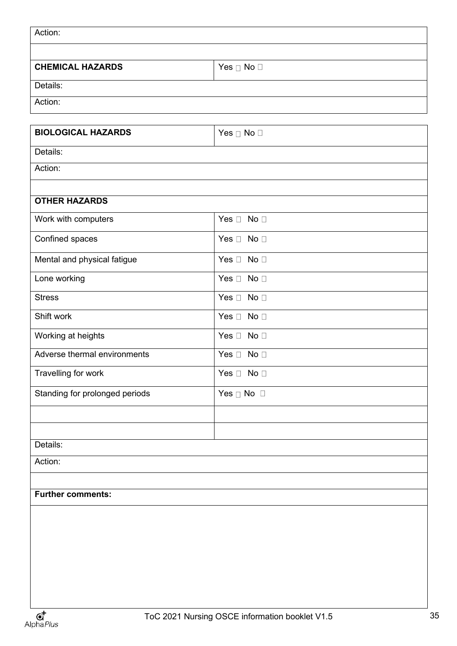| Action:                        |                      |  |
|--------------------------------|----------------------|--|
|                                |                      |  |
| <b>CHEMICAL HAZARDS</b>        | Yes $\Box$ No $\Box$ |  |
| Details:                       |                      |  |
| Action:                        |                      |  |
| <b>BIOLOGICAL HAZARDS</b>      | Yes $\Box$ No $\Box$ |  |
|                                |                      |  |
| Details:<br>Action:            |                      |  |
|                                |                      |  |
| <b>OTHER HAZARDS</b>           |                      |  |
| Work with computers            | Yes $\Box$ No $\Box$ |  |
| Confined spaces                | Yes $\Box$ No $\Box$ |  |
| Mental and physical fatigue    | Yes $\Box$ No $\Box$ |  |
| Lone working                   | Yes $\Box$ No $\Box$ |  |
| <b>Stress</b>                  | Yes $\Box$ No $\Box$ |  |
| Shift work                     | Yes $\Box$ No $\Box$ |  |
| Working at heights             | Yes $\Box$ No $\Box$ |  |
| Adverse thermal environments   | Yes $\Box$ No $\Box$ |  |
| Travelling for work            | Yes $\Box$ No $\Box$ |  |
| Standing for prolonged periods | Yes $\Box$ No $\Box$ |  |
|                                |                      |  |
| Details:                       |                      |  |
| Action:                        |                      |  |
|                                |                      |  |
| <b>Further comments:</b>       |                      |  |
|                                |                      |  |
|                                |                      |  |
|                                |                      |  |
|                                |                      |  |
|                                |                      |  |
|                                |                      |  |
|                                |                      |  |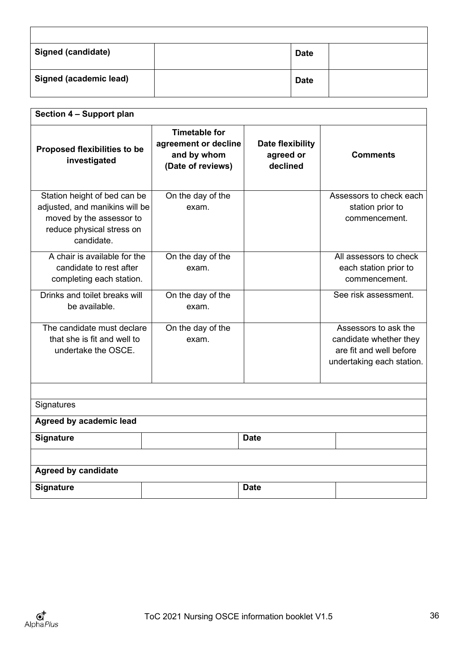| <b>Signed (candidate)</b> | <b>Date</b> |  |
|---------------------------|-------------|--|
| Signed (academic lead)    | <b>Date</b> |  |

| Section 4 - Support plan                                                                                                              |                                                                                  |                                           |                                                                                                        |  |
|---------------------------------------------------------------------------------------------------------------------------------------|----------------------------------------------------------------------------------|-------------------------------------------|--------------------------------------------------------------------------------------------------------|--|
| <b>Proposed flexibilities to be</b><br>investigated                                                                                   | <b>Timetable for</b><br>agreement or decline<br>and by whom<br>(Date of reviews) | Date flexibility<br>agreed or<br>declined | <b>Comments</b>                                                                                        |  |
| Station height of bed can be<br>adjusted, and manikins will be<br>moved by the assessor to<br>reduce physical stress on<br>candidate. | On the day of the<br>exam.                                                       |                                           | Assessors to check each<br>station prior to<br>commencement.                                           |  |
| A chair is available for the<br>candidate to rest after<br>completing each station.                                                   | On the day of the<br>exam.                                                       |                                           | All assessors to check<br>each station prior to<br>commencement.                                       |  |
| Drinks and toilet breaks will<br>be available.                                                                                        | On the day of the<br>exam.                                                       |                                           | See risk assessment.                                                                                   |  |
| The candidate must declare<br>that she is fit and well to<br>undertake the OSCE.                                                      | On the day of the<br>exam.                                                       |                                           | Assessors to ask the<br>candidate whether they<br>are fit and well before<br>undertaking each station. |  |
| Signatures                                                                                                                            |                                                                                  |                                           |                                                                                                        |  |
| Agreed by academic lead                                                                                                               |                                                                                  |                                           |                                                                                                        |  |
| Signature                                                                                                                             |                                                                                  | <b>Date</b>                               |                                                                                                        |  |
|                                                                                                                                       |                                                                                  |                                           |                                                                                                        |  |
| <b>Agreed by candidate</b>                                                                                                            |                                                                                  |                                           |                                                                                                        |  |
| <b>Signature</b>                                                                                                                      |                                                                                  | <b>Date</b>                               |                                                                                                        |  |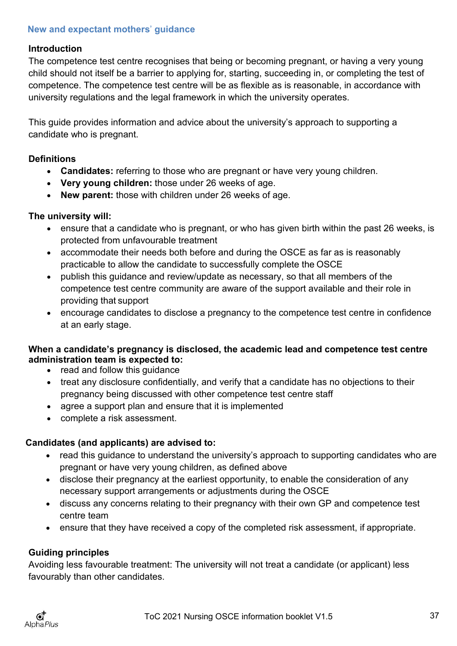# <span id="page-39-0"></span>**New and expectant mothers**' **guidance**

#### **Introduction**

The competence test centre recognises that being or becoming pregnant, or having a very young child should not itself be a barrier to applying for, starting, succeeding in, or completing the test of competence. The competence test centre will be as flexible as is reasonable, in accordance with university regulations and the legal framework in which the university operates.

This guide provides information and advice about the university's approach to supporting a candidate who is pregnant.

### **Definitions**

- **Candidates:** referring to those who are pregnant or have very young children.
- **Very young children:** those under 26 weeks of age.
- **New parent:** those with children under 26 weeks of age.

#### **The university will:**

- ensure that a candidate who is pregnant, or who has given birth within the past 26 weeks, is protected from unfavourable treatment
- accommodate their needs both before and during the OSCE as far as is reasonably practicable to allow the candidate to successfully complete the OSCE
- publish this guidance and review/update as necessary, so that all members of the competence test centre community are aware of the support available and their role in providing that support
- encourage candidates to disclose a pregnancy to the competence test centre in confidence at an early stage.

# **When a candidate's pregnancy is disclosed, the academic lead and competence test centre administration team is expected to:**

- read and follow this guidance
- treat any disclosure confidentially, and verify that a candidate has no objections to their pregnancy being discussed with other competence test centre staff
- agree a support plan and ensure that it is implemented
- complete a risk assessment.

# **Candidates (and applicants) are advised to:**

- read this guidance to understand the university's approach to supporting candidates who are pregnant or have very young children, as defined above
- disclose their pregnancy at the earliest opportunity, to enable the consideration of any necessary support arrangements or adjustments during the OSCE
- discuss any concerns relating to their pregnancy with their own GP and competence test centre team
- ensure that they have received a copy of the completed risk assessment, if appropriate.

# **Guiding principles**

Avoiding less favourable treatment: The university will not treat a candidate (or applicant) less favourably than other candidates.

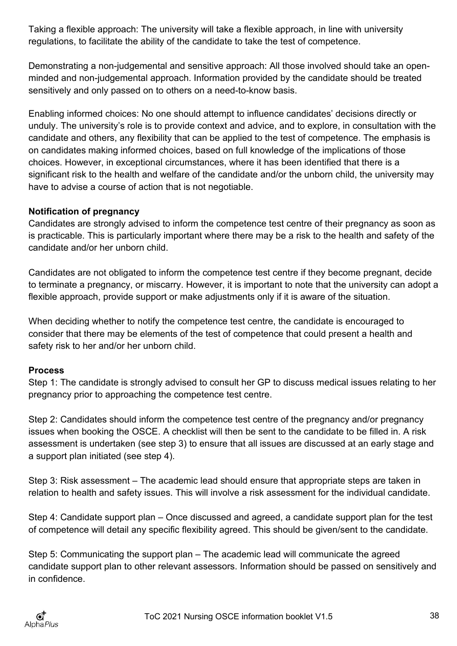Taking a flexible approach: The university will take a flexible approach, in line with university regulations, to facilitate the ability of the candidate to take the test of competence.

Demonstrating a non-judgemental and sensitive approach: All those involved should take an openminded and non-judgemental approach. Information provided by the candidate should be treated sensitively and only passed on to others on a need-to-know basis.

Enabling informed choices: No one should attempt to influence candidates' decisions directly or unduly. The university's role is to provide context and advice, and to explore, in consultation with the candidate and others, any flexibility that can be applied to the test of competence. The emphasis is on candidates making informed choices, based on full knowledge of the implications of those choices. However, in exceptional circumstances, where it has been identified that there is a significant risk to the health and welfare of the candidate and/or the unborn child, the university may have to advise a course of action that is not negotiable.

# **Notification of pregnancy**

Candidates are strongly advised to inform the competence test centre of their pregnancy as soon as is practicable. This is particularly important where there may be a risk to the health and safety of the candidate and/or her unborn child.

Candidates are not obligated to inform the competence test centre if they become pregnant, decide to terminate a pregnancy, or miscarry. However, it is important to note that the university can adopt a flexible approach, provide support or make adjustments only if it is aware of the situation.

When deciding whether to notify the competence test centre, the candidate is encouraged to consider that there may be elements of the test of competence that could present a health and safety risk to her and/or her unborn child.

# **Process**

Step 1: The candidate is strongly advised to consult her GP to discuss medical issues relating to her pregnancy prior to approaching the competence test centre.

Step 2: Candidates should inform the competence test centre of the pregnancy and/or pregnancy issues when booking the OSCE. A checklist will then be sent to the candidate to be filled in. A risk assessment is undertaken (see step 3) to ensure that all issues are discussed at an early stage and a support plan initiated (see step 4).

Step 3: Risk assessment – The academic lead should ensure that appropriate steps are taken in relation to health and safety issues. This will involve a risk assessment for the individual candidate.

Step 4: Candidate support plan – Once discussed and agreed, a candidate support plan for the test of competence will detail any specific flexibility agreed. This should be given/sent to the candidate.

Step 5: Communicating the support plan – The academic lead will communicate the agreed candidate support plan to other relevant assessors. Information should be passed on sensitively and in confidence.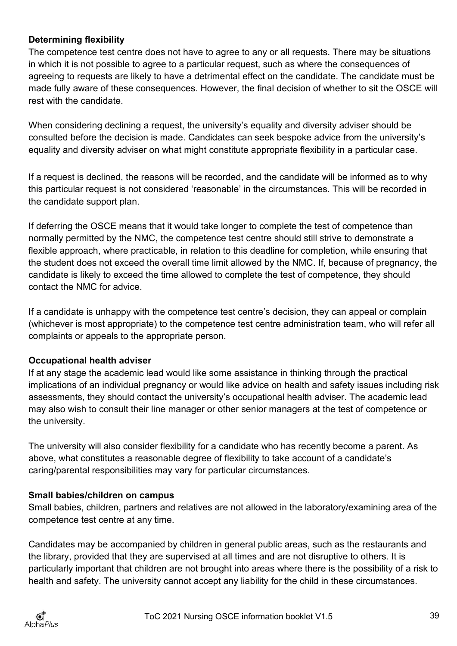# **Determining flexibility**

The competence test centre does not have to agree to any or all requests. There may be situations in which it is not possible to agree to a particular request, such as where the consequences of agreeing to requests are likely to have a detrimental effect on the candidate. The candidate must be made fully aware of these consequences. However, the final decision of whether to sit the OSCE will rest with the candidate.

When considering declining a request, the university's equality and diversity adviser should be consulted before the decision is made. Candidates can seek bespoke advice from the university's equality and diversity adviser on what might constitute appropriate flexibility in a particular case.

If a request is declined, the reasons will be recorded, and the candidate will be informed as to why this particular request is not considered 'reasonable' in the circumstances. This will be recorded in the candidate support plan.

If deferring the OSCE means that it would take longer to complete the test of competence than normally permitted by the NMC, the competence test centre should still strive to demonstrate a flexible approach, where practicable, in relation to this deadline for completion, while ensuring that the student does not exceed the overall time limit allowed by the NMC. If, because of pregnancy, the candidate is likely to exceed the time allowed to complete the test of competence, they should contact the NMC for advice.

If a candidate is unhappy with the competence test centre's decision, they can appeal or complain (whichever is most appropriate) to the competence test centre administration team, who will refer all complaints or appeals to the appropriate person.

# **Occupational health adviser**

If at any stage the academic lead would like some assistance in thinking through the practical implications of an individual pregnancy or would like advice on health and safety issues including risk assessments, they should contact the university's occupational health adviser. The academic lead may also wish to consult their line manager or other senior managers at the test of competence or the university.

The university will also consider flexibility for a candidate who has recently become a parent. As above, what constitutes a reasonable degree of flexibility to take account of a candidate's caring/parental responsibilities may vary for particular circumstances.

# **Small babies/children on campus**

Small babies, children, partners and relatives are not allowed in the laboratory/examining area of the competence test centre at any time.

Candidates may be accompanied by children in general public areas, such as the restaurants and the library, provided that they are supervised at all times and are not disruptive to others. It is particularly important that children are not brought into areas where there is the possibility of a risk to health and safety. The university cannot accept any liability for the child in these circumstances.